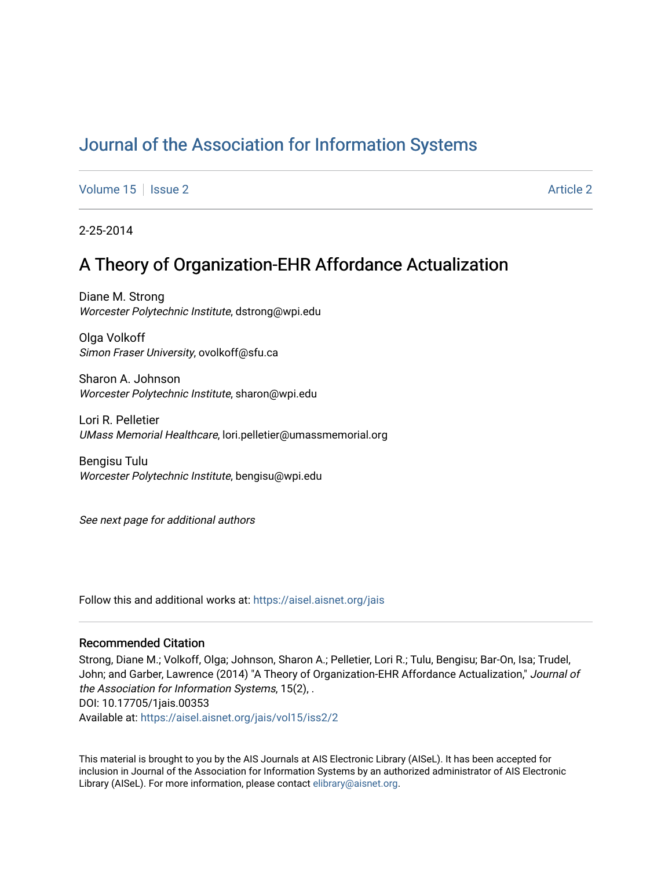# [Journal of the Association for Information Systems](https://aisel.aisnet.org/jais)

[Volume 15](https://aisel.aisnet.org/jais/vol15) | [Issue 2](https://aisel.aisnet.org/jais/vol15/iss2) [Article 2](https://aisel.aisnet.org/jais/vol15/iss2/2) Article 2 Article 2 Article 2 Article 2 Article 2 Article 2

2-25-2014

# A Theory of Organization-EHR Affordance Actualization

Diane M. Strong Worcester Polytechnic Institute, dstrong@wpi.edu

Olga Volkoff Simon Fraser University, ovolkoff@sfu.ca

Sharon A. Johnson Worcester Polytechnic Institute, sharon@wpi.edu

Lori R. Pelletier UMass Memorial Healthcare, lori.pelletier@umassmemorial.org

Bengisu Tulu Worcester Polytechnic Institute, bengisu@wpi.edu

See next page for additional authors

Follow this and additional works at: [https://aisel.aisnet.org/jais](https://aisel.aisnet.org/jais?utm_source=aisel.aisnet.org%2Fjais%2Fvol15%2Fiss2%2F2&utm_medium=PDF&utm_campaign=PDFCoverPages) 

#### Recommended Citation

Strong, Diane M.; Volkoff, Olga; Johnson, Sharon A.; Pelletier, Lori R.; Tulu, Bengisu; Bar-On, Isa; Trudel, John; and Garber, Lawrence (2014) "A Theory of Organization-EHR Affordance Actualization," Journal of the Association for Information Systems, 15(2), . DOI: 10.17705/1jais.00353 Available at: [https://aisel.aisnet.org/jais/vol15/iss2/2](https://aisel.aisnet.org/jais/vol15/iss2/2?utm_source=aisel.aisnet.org%2Fjais%2Fvol15%2Fiss2%2F2&utm_medium=PDF&utm_campaign=PDFCoverPages)

This material is brought to you by the AIS Journals at AIS Electronic Library (AISeL). It has been accepted for inclusion in Journal of the Association for Information Systems by an authorized administrator of AIS Electronic Library (AISeL). For more information, please contact [elibrary@aisnet.org.](mailto:elibrary@aisnet.org%3E)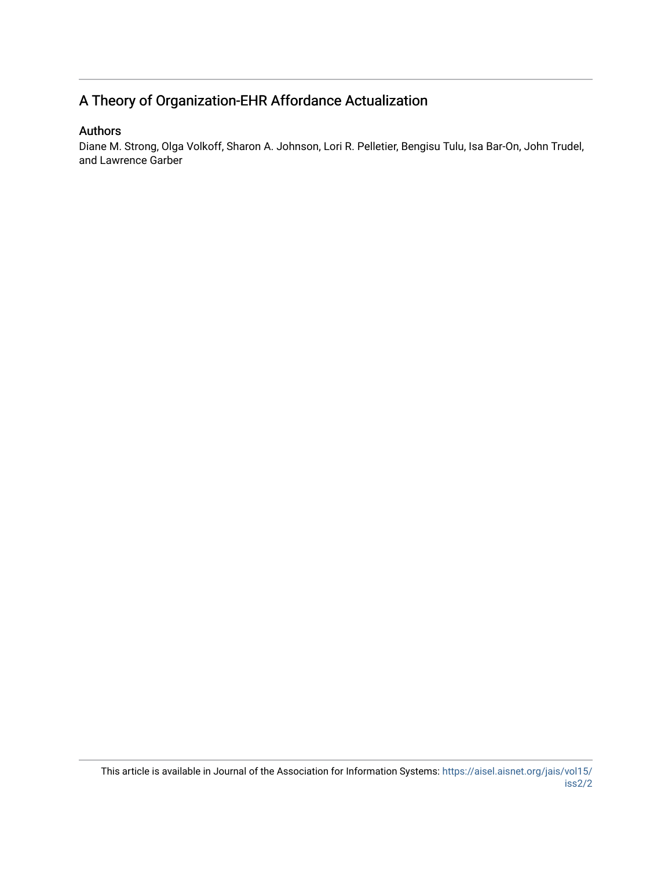# A Theory of Organization-EHR Affordance Actualization

## Authors

Diane M. Strong, Olga Volkoff, Sharon A. Johnson, Lori R. Pelletier, Bengisu Tulu, Isa Bar-On, John Trudel, and Lawrence Garber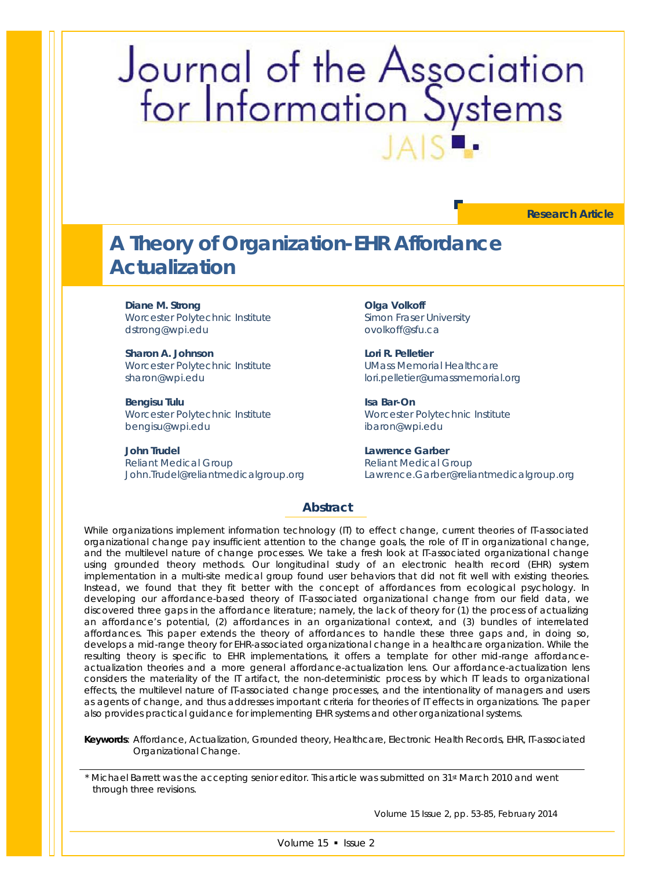# Journal of the Association<br>for Information Systems

**Research Article**

# **A Theory of Organization-EHR Affordance Actualization**

**Diane M. Strong**

Worcester Polytechnic Institute dstrong@wpi.edu

**Sharon A. Johnson** Worcester Polytechnic Institute sharon@wpi.edu

**Bengisu Tulu** Worcester Polytechnic Institute bengisu@wpi.edu

**John Trudel** Reliant Medical Group John.Trudel@reliantmedicalgroup.org

**Olga Volkoff** Simon Fraser University ovolkoff@sfu.ca

**Lori R. Pelletier** UMass Memorial Healthcare lori.pelletier@umassmemorial.org

**Isa Bar-On**  Worcester Polytechnic Institute ibaron@wpi.edu

**Lawrence Garber** Reliant Medical Group Lawrence.Garber@reliantmedicalgroup.org

#### **Abstract**

*While organizations implement information technology (IT) to effect change, current theories of IT-associated organizational change pay insufficient attention to the change goals, the role of IT in organizational change, and the multilevel nature of change processes. We take a fresh look at IT-associated organizational change using grounded theory methods. Our longitudinal study of an electronic health record (EHR) system implementation in a multi-site medical group found user behaviors that did not fit well with existing theories. Instead, we found that they fit better with the concept of affordances from ecological psychology. In developing our affordance-based theory of IT-associated organizational change from our field data, we discovered three gaps in the affordance literature; namely, the lack of theory for (1) the process of actualizing an affordance's potential, (2) affordances in an organizational context, and (3) bundles of interrelated affordances. This paper extends the theory of affordances to handle these three gaps and, in doing so, develops a mid-range theory for EHR-associated organizational change in a healthcare organization. While the resulting theory is specific to EHR implementations, it offers a template for other mid-range affordanceactualization theories and a more general affordance-actualization lens. Our affordance-actualization lens considers the materiality of the IT artifact, the non-deterministic process by which IT leads to organizational effects, the multilevel nature of IT-associated change processes, and the intentionality of managers and users as agents of change, and thus addresses important criteria for theories of IT effects in organizations. The paper also provides practical guidance for implementing EHR systems and other organizational systems.*

*Keywords: Affordance, Actualization, Grounded theory, Healthcare, Electronic Health Records, EHR, IT-associated Organizational Change.*

\* Michael Barrett was the accepting senior editor. This article was submitted on 31st March 2010 and went through three revisions.

Volume 15 Issue 2, pp. 53-85, February 2014

Volume 15 · Issue 2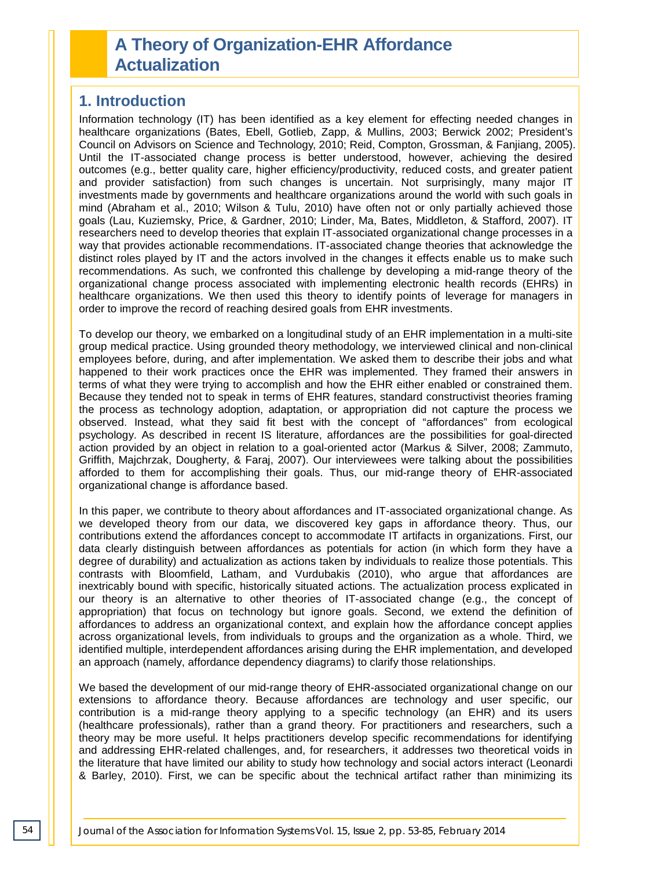# **A Theory of Organization-EHR Affordance Actualization**

# **1. Introduction**

Information technology (IT) has been identified as a key element for effecting needed changes in healthcare organizations (Bates, Ebell, Gotlieb, Zapp, & Mullins, 2003; Berwick 2002; President's Council on Advisors on Science and Technology, 2010; Reid, Compton, Grossman, & Fanjiang, 2005). Until the IT-associated change process is better understood, however, achieving the desired outcomes (e.g., better quality care, higher efficiency/productivity, reduced costs, and greater patient and provider satisfaction) from such changes is uncertain. Not surprisingly, many major IT investments made by governments and healthcare organizations around the world with such goals in mind (Abraham et al., 2010; Wilson & Tulu, 2010) have often not or only partially achieved those goals (Lau, Kuziemsky, Price, & Gardner, 2010; Linder, Ma, Bates, Middleton, & Stafford, 2007). IT researchers need to develop theories that explain IT-associated organizational change processes in a way that provides actionable recommendations. IT-associated change theories that acknowledge the distinct roles played by IT and the actors involved in the changes it effects enable us to make such recommendations. As such, we confronted this challenge by developing a mid-range theory of the organizational change process associated with implementing electronic health records (EHRs) in healthcare organizations. We then used this theory to identify points of leverage for managers in order to improve the record of reaching desired goals from EHR investments.

To develop our theory, we embarked on a longitudinal study of an EHR implementation in a multi-site group medical practice. Using grounded theory methodology, we interviewed clinical and non-clinical employees before, during, and after implementation. We asked them to describe their jobs and what happened to their work practices once the EHR was implemented. They framed their answers in terms of what they were trying to accomplish and how the EHR either enabled or constrained them. Because they tended not to speak in terms of EHR features, standard constructivist theories framing the process as technology adoption, adaptation, or appropriation did not capture the process we observed. Instead, what they said fit best with the concept of "affordances" from ecological psychology. As described in recent IS literature, affordances are the possibilities for goal-directed action provided by an object in relation to a goal-oriented actor (Markus & Silver, 2008; Zammuto, Griffith, Majchrzak, Dougherty, & Faraj, 2007). Our interviewees were talking about the possibilities afforded to them for accomplishing their goals. Thus, our mid-range theory of EHR-associated organizational change is affordance based.

In this paper, we contribute to theory about affordances and IT-associated organizational change. As we developed theory from our data, we discovered key gaps in affordance theory. Thus, our contributions extend the affordances concept to accommodate IT artifacts in organizations. First, our data clearly distinguish between affordances as potentials for action (in which form they have a degree of durability) and actualization as actions taken by individuals to realize those potentials. This contrasts with Bloomfield, Latham, and Vurdubakis (2010), who argue that affordances are inextricably bound with specific, historically situated actions. The actualization process explicated in our theory is an alternative to other theories of IT-associated change (e.g., the concept of appropriation) that focus on technology but ignore goals. Second, we extend the definition of affordances to address an organizational context, and explain how the affordance concept applies across organizational levels, from individuals to groups and the organization as a whole. Third, we identified multiple, interdependent affordances arising during the EHR implementation, and developed an approach (namely, affordance dependency diagrams) to clarify those relationships.

We based the development of our mid-range theory of EHR-associated organizational change on our extensions to affordance theory. Because affordances are technology and user specific, our contribution is a mid-range theory applying to a specific technology (an EHR) and its users (healthcare professionals), rather than a grand theory. For practitioners and researchers, such a theory may be more useful. It helps practitioners develop specific recommendations for identifying and addressing EHR-related challenges, and, for researchers, it addresses two theoretical voids in the literature that have limited our ability to study how technology and social actors interact (Leonardi & Barley, 2010). First, we can be specific about the technical artifact rather than minimizing its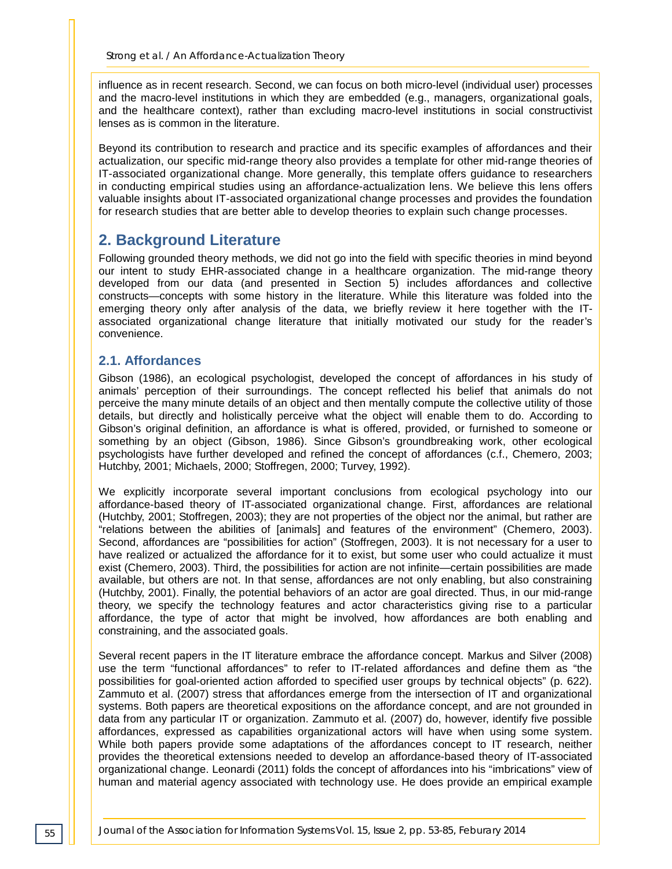influence as in recent research. Second, we can focus on both micro-level (individual user) processes and the macro-level institutions in which they are embedded (e.g., managers, organizational goals, and the healthcare context), rather than excluding macro-level institutions in social constructivist lenses as is common in the literature.

Beyond its contribution to research and practice and its specific examples of affordances and their actualization, our specific mid-range theory also provides a template for other mid-range theories of IT-associated organizational change. More generally, this template offers guidance to researchers in conducting empirical studies using an affordance-actualization lens. We believe this lens offers valuable insights about IT-associated organizational change processes and provides the foundation for research studies that are better able to develop theories to explain such change processes.

# **2. Background Literature**

Following grounded theory methods, we did not go into the field with specific theories in mind beyond our intent to study EHR-associated change in a healthcare organization. The mid-range theory developed from our data (and presented in Section 5) includes affordances and collective constructs—concepts with some history in the literature. While this literature was folded into the emerging theory only after analysis of the data, we briefly review it here together with the ITassociated organizational change literature that initially motivated our study for the reader's convenience.

#### **2.1. Affordances**

Gibson (1986), an ecological psychologist, developed the concept of affordances in his study of animals' perception of their surroundings. The concept reflected his belief that animals do not perceive the many minute details of an object and then mentally compute the collective utility of those details, but directly and holistically perceive what the object will enable them to do. According to Gibson's original definition, an affordance is what is offered, provided, or furnished to someone or something by an object (Gibson, 1986). Since Gibson's groundbreaking work, other ecological psychologists have further developed and refined the concept of affordances (c.f., Chemero, 2003; Hutchby, 2001; Michaels, 2000; Stoffregen, 2000; Turvey, 1992).

We explicitly incorporate several important conclusions from ecological psychology into our affordance-based theory of IT-associated organizational change. First, affordances are relational (Hutchby, 2001; Stoffregen, 2003); they are not properties of the object nor the animal, but rather are "relations between the abilities of [animals] and features of the environment" (Chemero, 2003). Second, affordances are "possibilities for action" (Stoffregen, 2003). It is not necessary for a user to have realized or actualized the affordance for it to exist, but some user who could actualize it must exist (Chemero, 2003). Third, the possibilities for action are not infinite—certain possibilities are made available, but others are not. In that sense, affordances are not only enabling, but also constraining (Hutchby, 2001). Finally, the potential behaviors of an actor are goal directed. Thus, in our mid-range theory, we specify the technology features and actor characteristics giving rise to a particular affordance, the type of actor that might be involved, how affordances are both enabling and constraining, and the associated goals.

Several recent papers in the IT literature embrace the affordance concept. Markus and Silver (2008) use the term "functional affordances" to refer to IT-related affordances and define them as "the possibilities for goal-oriented action afforded to specified user groups by technical objects" (p. 622). Zammuto et al. (2007) stress that affordances emerge from the intersection of IT and organizational systems. Both papers are theoretical expositions on the affordance concept, and are not grounded in data from any particular IT or organization. Zammuto et al. (2007) do, however, identify five possible affordances, expressed as capabilities organizational actors will have when using some system. While both papers provide some adaptations of the affordances concept to IT research, neither provides the theoretical extensions needed to develop an affordance-based theory of IT-associated organizational change. Leonardi (2011) folds the concept of affordances into his "imbrications" view of human and material agency associated with technology use. He does provide an empirical example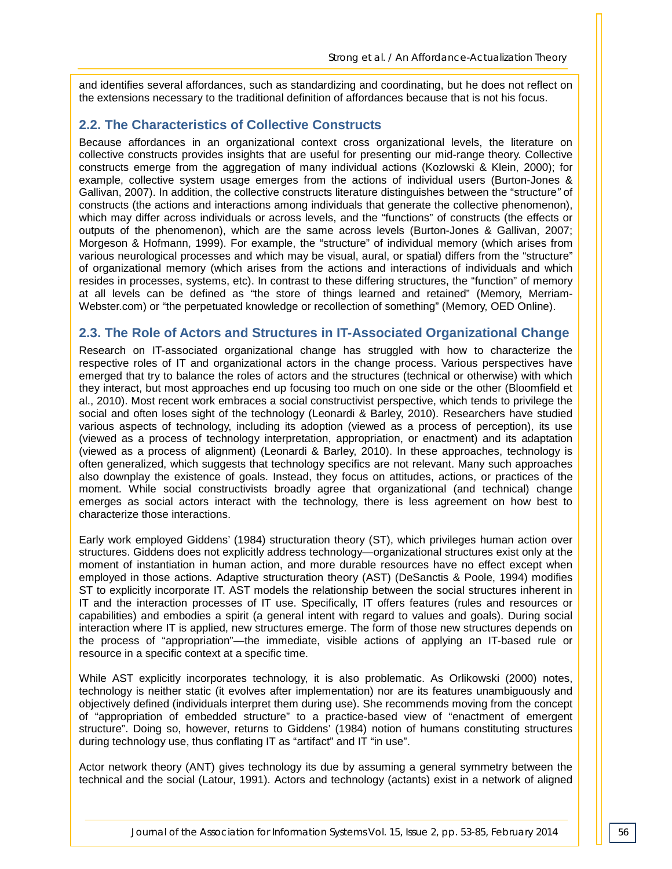and identifies several affordances, such as standardizing and coordinating, but he does not reflect on the extensions necessary to the traditional definition of affordances because that is not his focus.

#### **2.2. The Characteristics of Collective Constructs**

Because affordances in an organizational context cross organizational levels, the literature on collective constructs provides insights that are useful for presenting our mid-range theory. Collective constructs emerge from the aggregation of many individual actions (Kozlowski & Klein, 2000); for example, collective system usage emerges from the actions of individual users (Burton-Jones & Gallivan, 2007). In addition, the collective constructs literature distinguishes between the "structure*"* of constructs (the actions and interactions among individuals that generate the collective phenomenon), which may differ across individuals or across levels, and the "functions" of constructs (the effects or outputs of the phenomenon), which are the same across levels (Burton-Jones & Gallivan, 2007; Morgeson & Hofmann, 1999). For example, the "structure" of individual memory (which arises from various neurological processes and which may be visual, aural, or spatial) differs from the "structure" of organizational memory (which arises from the actions and interactions of individuals and which resides in processes, systems, etc). In contrast to these differing structures, the "function" of memory at all levels can be defined as "the store of things learned and retained" (Memory, Merriam-Webster.com) or "the perpetuated knowledge or recollection of something" (Memory, OED Online).

#### **2.3. The Role of Actors and Structures in IT-Associated Organizational Change**

Research on IT-associated organizational change has struggled with how to characterize the respective roles of IT and organizational actors in the change process. Various perspectives have emerged that try to balance the roles of actors and the structures (technical or otherwise) with which they interact, but most approaches end up focusing too much on one side or the other (Bloomfield et al., 2010). Most recent work embraces a social constructivist perspective, which tends to privilege the social and often loses sight of the technology (Leonardi & Barley, 2010). Researchers have studied various aspects of technology, including its adoption (viewed as a process of perception), its use (viewed as a process of technology interpretation, appropriation, or enactment) and its adaptation (viewed as a process of alignment) (Leonardi & Barley, 2010). In these approaches, technology is often generalized, which suggests that technology specifics are not relevant. Many such approaches also downplay the existence of goals. Instead, they focus on attitudes, actions, or practices of the moment. While social constructivists broadly agree that organizational (and technical) change emerges as social actors interact with the technology, there is less agreement on how best to characterize those interactions.

Early work employed Giddens' (1984) structuration theory (ST), which privileges human action over structures. Giddens does not explicitly address technology—organizational structures exist only at the moment of instantiation in human action, and more durable resources have no effect except when employed in those actions. Adaptive structuration theory (AST) (DeSanctis & Poole, 1994) modifies ST to explicitly incorporate IT. AST models the relationship between the social structures inherent in IT and the interaction processes of IT use. Specifically, IT offers features (rules and resources or capabilities) and embodies a spirit (a general intent with regard to values and goals). During social interaction where IT is applied, new structures emerge. The form of those new structures depends on the process of "appropriation"—the immediate, visible actions of applying an IT-based rule or resource in a specific context at a specific time.

While AST explicitly incorporates technology, it is also problematic. As Orlikowski (2000) notes, technology is neither static (it evolves after implementation) nor are its features unambiguously and objectively defined (individuals interpret them during use). She recommends moving from the concept of "appropriation of embedded structure" to a practice-based view of "enactment of emergent structure". Doing so, however, returns to Giddens' (1984) notion of humans constituting structures during technology use, thus conflating IT as "artifact" and IT "in use".

Actor network theory (ANT) gives technology its due by assuming a general symmetry between the technical and the social (Latour, 1991). Actors and technology (actants) exist in a network of aligned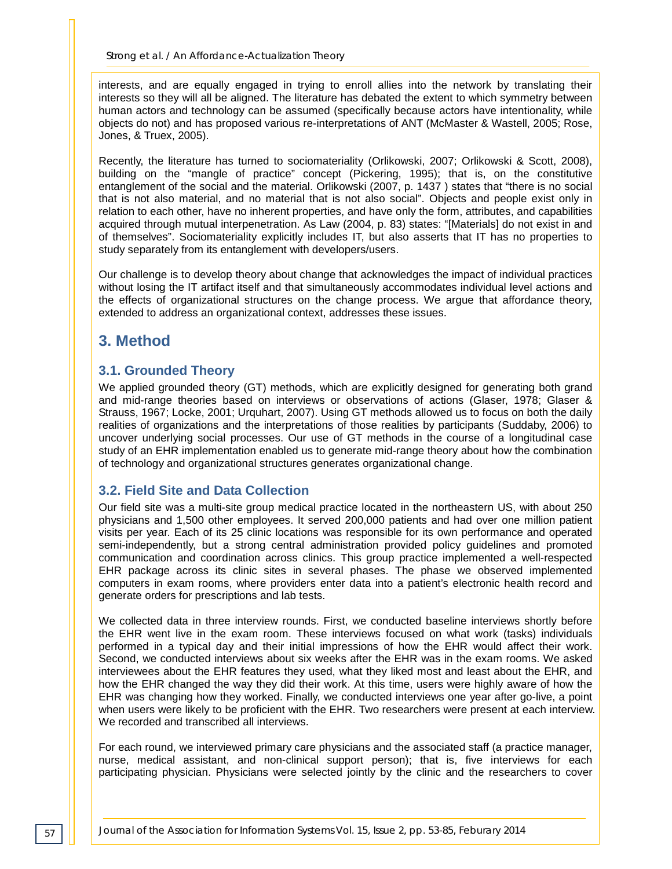interests, and are equally engaged in trying to enroll allies into the network by translating their interests so they will all be aligned. The literature has debated the extent to which symmetry between human actors and technology can be assumed (specifically because actors have intentionality, while objects do not) and has proposed various re-interpretations of ANT (McMaster & Wastell, 2005; Rose, Jones, & Truex, 2005).

Recently, the literature has turned to sociomateriality (Orlikowski, 2007; Orlikowski & Scott, 2008), building on the "mangle of practice" concept (Pickering, 1995); that is, on the constitutive entanglement of the social and the material. Orlikowski (2007, p. 1437 ) states that "there is no social that is not also material, and no material that is not also social". Objects and people exist only in relation to each other, have no inherent properties, and have only the form, attributes, and capabilities acquired through mutual interpenetration. As Law (2004, p. 83) states: "[Materials] do not exist in and of themselves". Sociomateriality explicitly includes IT, but also asserts that IT has no properties to study separately from its entanglement with developers/users.

Our challenge is to develop theory about change that acknowledges the impact of individual practices without losing the IT artifact itself and that simultaneously accommodates individual level actions and the effects of organizational structures on the change process. We argue that affordance theory, extended to address an organizational context, addresses these issues.

# **3. Method**

## **3.1. Grounded Theory**

We applied grounded theory (GT) methods, which are explicitly designed for generating both grand and mid-range theories based on interviews or observations of actions (Glaser, 1978; Glaser & Strauss, 1967; Locke, 2001; Urquhart, 2007). Using GT methods allowed us to focus on both the daily realities of organizations and the interpretations of those realities by participants (Suddaby, 2006) to uncover underlying social processes. Our use of GT methods in the course of a longitudinal case study of an EHR implementation enabled us to generate mid-range theory about how the combination of technology and organizational structures generates organizational change.

#### **3.2. Field Site and Data Collection**

Our field site was a multi-site group medical practice located in the northeastern US, with about 250 physicians and 1,500 other employees. It served 200,000 patients and had over one million patient visits per year. Each of its 25 clinic locations was responsible for its own performance and operated semi-independently, but a strong central administration provided policy guidelines and promoted communication and coordination across clinics. This group practice implemented a well-respected EHR package across its clinic sites in several phases. The phase we observed implemented computers in exam rooms, where providers enter data into a patient's electronic health record and generate orders for prescriptions and lab tests.

We collected data in three interview rounds. First, we conducted baseline interviews shortly before the EHR went live in the exam room. These interviews focused on what work (tasks) individuals performed in a typical day and their initial impressions of how the EHR would affect their work. Second, we conducted interviews about six weeks after the EHR was in the exam rooms. We asked interviewees about the EHR features they used, what they liked most and least about the EHR, and how the EHR changed the way they did their work. At this time, users were highly aware of how the EHR was changing how they worked. Finally, we conducted interviews one year after go-live, a point when users were likely to be proficient with the EHR. Two researchers were present at each interview. We recorded and transcribed all interviews.

For each round, we interviewed primary care physicians and the associated staff (a practice manager, nurse, medical assistant, and non-clinical support person); that is, five interviews for each participating physician. Physicians were selected jointly by the clinic and the researchers to cover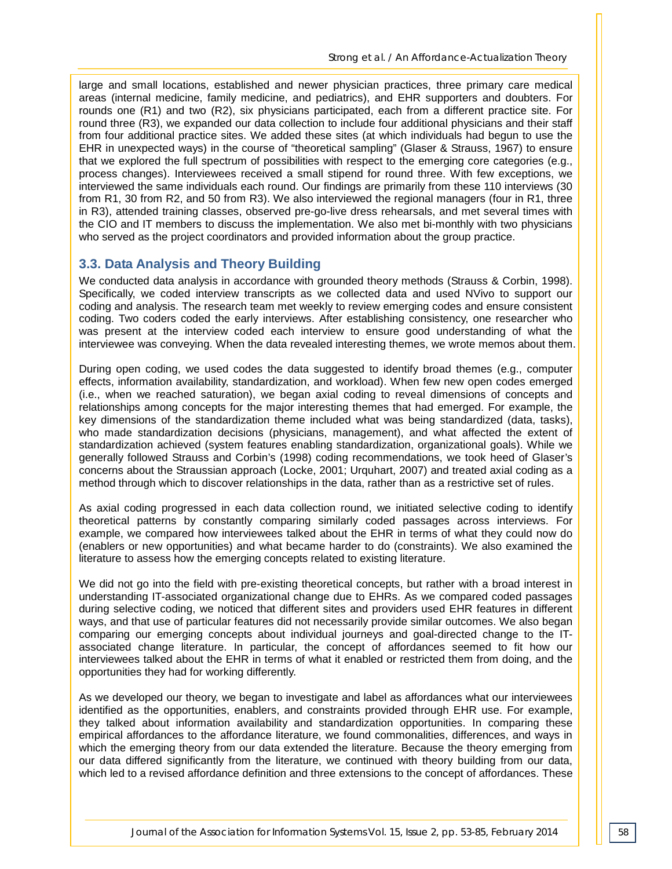large and small locations, established and newer physician practices, three primary care medical areas (internal medicine, family medicine, and pediatrics), and EHR supporters and doubters. For rounds one (R1) and two (R2), six physicians participated, each from a different practice site. For round three (R3), we expanded our data collection to include four additional physicians and their staff from four additional practice sites. We added these sites (at which individuals had begun to use the EHR in unexpected ways) in the course of "theoretical sampling" (Glaser & Strauss, 1967) to ensure that we explored the full spectrum of possibilities with respect to the emerging core categories (e.g., process changes). Interviewees received a small stipend for round three. With few exceptions, we interviewed the same individuals each round. Our findings are primarily from these 110 interviews (30 from R1, 30 from R2, and 50 from R3). We also interviewed the regional managers (four in R1, three in R3), attended training classes, observed pre-go-live dress rehearsals, and met several times with the CIO and IT members to discuss the implementation. We also met bi-monthly with two physicians who served as the project coordinators and provided information about the group practice.

#### **3.3. Data Analysis and Theory Building**

We conducted data analysis in accordance with grounded theory methods (Strauss & Corbin, 1998). Specifically, we coded interview transcripts as we collected data and used NVivo to support our coding and analysis. The research team met weekly to review emerging codes and ensure consistent coding. Two coders coded the early interviews. After establishing consistency, one researcher who was present at the interview coded each interview to ensure good understanding of what the interviewee was conveying. When the data revealed interesting themes, we wrote memos about them.

During open coding, we used codes the data suggested to identify broad themes (e.g., computer effects, information availability, standardization, and workload). When few new open codes emerged (i.e., when we reached saturation), we began axial coding to reveal dimensions of concepts and relationships among concepts for the major interesting themes that had emerged. For example, the key dimensions of the standardization theme included what was being standardized (data, tasks), who made standardization decisions (physicians, management), and what affected the extent of standardization achieved (system features enabling standardization, organizational goals). While we generally followed Strauss and Corbin's (1998) coding recommendations, we took heed of Glaser's concerns about the Straussian approach (Locke, 2001; Urquhart, 2007) and treated axial coding as a method through which to discover relationships in the data, rather than as a restrictive set of rules.

As axial coding progressed in each data collection round, we initiated selective coding to identify theoretical patterns by constantly comparing similarly coded passages across interviews. For example, we compared how interviewees talked about the EHR in terms of what they could now do (enablers or new opportunities) and what became harder to do (constraints). We also examined the literature to assess how the emerging concepts related to existing literature.

We did not go into the field with pre-existing theoretical concepts, but rather with a broad interest in understanding IT-associated organizational change due to EHRs. As we compared coded passages during selective coding, we noticed that different sites and providers used EHR features in different ways, and that use of particular features did not necessarily provide similar outcomes. We also began comparing our emerging concepts about individual journeys and goal-directed change to the ITassociated change literature. In particular, the concept of affordances seemed to fit how our interviewees talked about the EHR in terms of what it enabled or restricted them from doing, and the opportunities they had for working differently.

As we developed our theory, we began to investigate and label as affordances what our interviewees identified as the opportunities, enablers, and constraints provided through EHR use. For example, they talked about information availability and standardization opportunities. In comparing these empirical affordances to the affordance literature, we found commonalities, differences, and ways in which the emerging theory from our data extended the literature. Because the theory emerging from our data differed significantly from the literature, we continued with theory building from our data, which led to a revised affordance definition and three extensions to the concept of affordances. These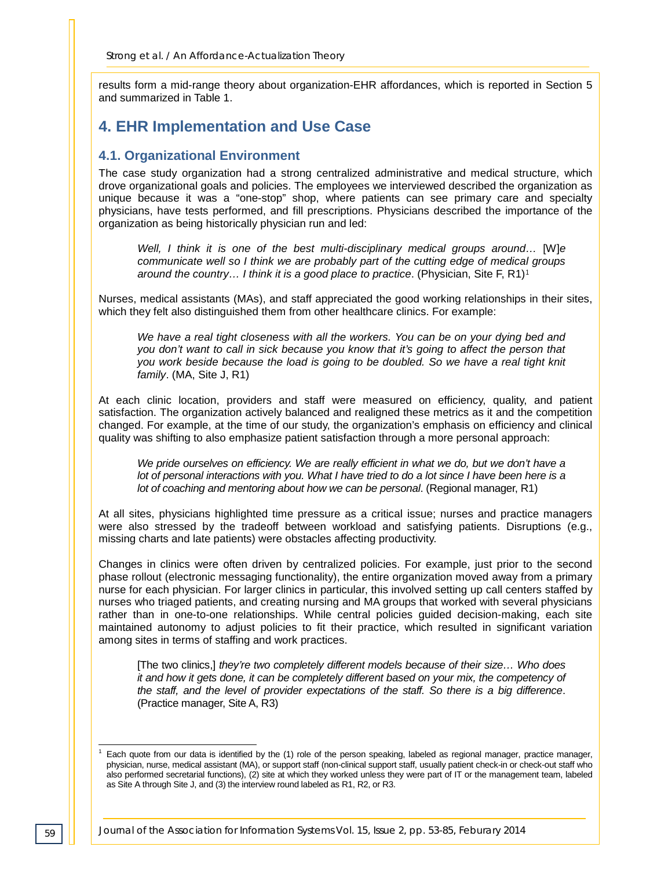results form a mid-range theory about organization-EHR affordances, which is reported in Section 5 and summarized in Table 1.

# **4. EHR Implementation and Use Case**

#### **4.1. Organizational Environment**

The case study organization had a strong centralized administrative and medical structure, which drove organizational goals and policies. The employees we interviewed described the organization as unique because it was a "one-stop" shop, where patients can see primary care and specialty physicians, have tests performed, and fill prescriptions. Physicians described the importance of the organization as being historically physician run and led:

*Well, I think it is one of the best multi-disciplinary medical groups around…* [W]*e communicate well so I think we are probably part of the cutting edge of medical groups around the country... I think it is a good place to practice.* (Physician, Site F, R[1](#page-8-0))<sup>1</sup>

Nurses, medical assistants (MAs), and staff appreciated the good working relationships in their sites, which they felt also distinguished them from other healthcare clinics. For example:

*We have a real tight closeness with all the workers. You can be on your dying bed and you don't want to call in sick because you know that it's going to affect the person that you work beside because the load is going to be doubled. So we have a real tight knit family*. (MA, Site J, R1)

At each clinic location, providers and staff were measured on efficiency, quality, and patient satisfaction. The organization actively balanced and realigned these metrics as it and the competition changed. For example, at the time of our study, the organization's emphasis on efficiency and clinical quality was shifting to also emphasize patient satisfaction through a more personal approach:

*We pride ourselves on efficiency. We are really efficient in what we do, but we don't have a lot of personal interactions with you. What I have tried to do a lot since I have been here is a lot of coaching and mentoring about how we can be personal*. (Regional manager, R1)

At all sites, physicians highlighted time pressure as a critical issue; nurses and practice managers were also stressed by the tradeoff between workload and satisfying patients. Disruptions (e.g., missing charts and late patients) were obstacles affecting productivity.

Changes in clinics were often driven by centralized policies. For example, just prior to the second phase rollout (electronic messaging functionality), the entire organization moved away from a primary nurse for each physician. For larger clinics in particular, this involved setting up call centers staffed by nurses who triaged patients, and creating nursing and MA groups that worked with several physicians rather than in one-to-one relationships. While central policies guided decision-making, each site maintained autonomy to adjust policies to fit their practice, which resulted in significant variation among sites in terms of staffing and work practices.

[The two clinics,] *they're two completely different models because of their size… Who does it and how it gets done, it can be completely different based on your mix, the competency of the staff, and the level of provider expectations of the staff. So there is a big difference*. (Practice manager, Site A, R3)

<span id="page-8-0"></span> <sup>1</sup> Each quote from our data is identified by the (1) role of the person speaking, labeled as regional manager, practice manager, physician, nurse, medical assistant (MA), or support staff (non-clinical support staff, usually patient check-in or check-out staff who also performed secretarial functions), (2) site at which they worked unless they were part of IT or the management team, labeled as Site A through Site J, and (3) the interview round labeled as R1, R2, or R3.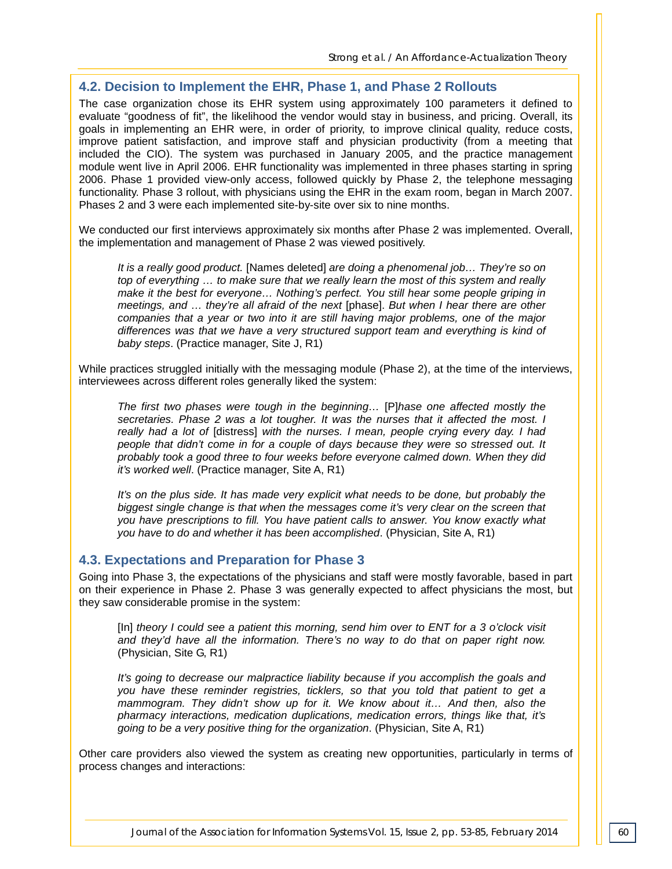#### **4.2. Decision to Implement the EHR, Phase 1, and Phase 2 Rollouts**

The case organization chose its EHR system using approximately 100 parameters it defined to evaluate "goodness of fit", the likelihood the vendor would stay in business, and pricing. Overall, its goals in implementing an EHR were, in order of priority, to improve clinical quality, reduce costs, improve patient satisfaction, and improve staff and physician productivity (from a meeting that included the CIO). The system was purchased in January 2005, and the practice management module went live in April 2006. EHR functionality was implemented in three phases starting in spring 2006. Phase 1 provided view-only access, followed quickly by Phase 2, the telephone messaging functionality. Phase 3 rollout, with physicians using the EHR in the exam room, began in March 2007. Phases 2 and 3 were each implemented site-by-site over six to nine months.

We conducted our first interviews approximately six months after Phase 2 was implemented. Overall, the implementation and management of Phase 2 was viewed positively.

*It is a really good product.* [Names deleted] *are doing a phenomenal job… They're so on top of everything … to make sure that we really learn the most of this system and really make it the best for everyone… Nothing's perfect. You still hear some people griping in meetings, and … they're all afraid of the next* [phase]. *But when I hear there are other companies that a year or two into it are still having major problems, one of the major differences was that we have a very structured support team and everything is kind of baby steps*. (Practice manager, Site J, R1)

While practices struggled initially with the messaging module (Phase 2), at the time of the interviews, interviewees across different roles generally liked the system:

*The first two phases were tough in the beginning…* [P]*hase one affected mostly the secretaries. Phase 2 was a lot tougher. It was the nurses that it affected the most. I really had a lot of* [distress] *with the nurses. I mean, people crying every day. I had people that didn't come in for a couple of days because they were so stressed out. It probably took a good three to four weeks before everyone calmed down. When they did it's worked well*. (Practice manager, Site A, R1)

*It's on the plus side. It has made very explicit what needs to be done, but probably the biggest single change is that when the messages come it's very clear on the screen that you have prescriptions to fill. You have patient calls to answer. You know exactly what you have to do and whether it has been accomplished*. (Physician, Site A, R1)

#### **4.3. Expectations and Preparation for Phase 3**

Going into Phase 3, the expectations of the physicians and staff were mostly favorable, based in part on their experience in Phase 2. Phase 3 was generally expected to affect physicians the most, but they saw considerable promise in the system:

[In] *theory I could see a patient this morning, send him over to ENT for a 3 o'clock visit and they'd have all the information. There's no way to do that on paper right now.* (Physician, Site G, R1)

*It's going to decrease our malpractice liability because if you accomplish the goals and you have these reminder registries, ticklers, so that you told that patient to get a mammogram. They didn't show up for it. We know about it… And then, also the pharmacy interactions, medication duplications, medication errors, things like that, it's going to be a very positive thing for the organization*. (Physician, Site A, R1)

Other care providers also viewed the system as creating new opportunities, particularly in terms of process changes and interactions: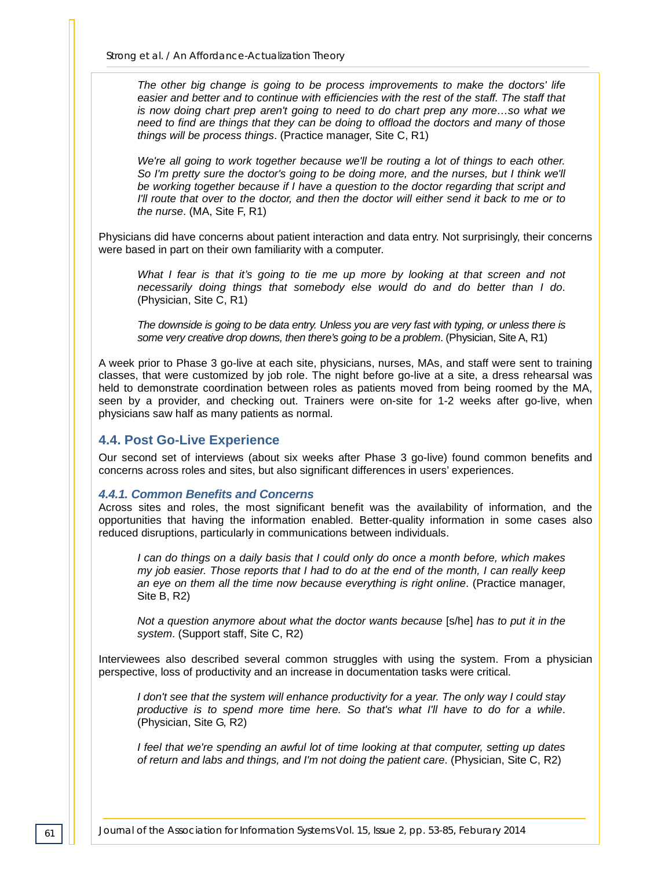*The other big change is going to be process improvements to make the doctors' life easier and better and to continue with efficiencies with the rest of the staff. The staff that is now doing chart prep aren't going to need to do chart prep any more...so what we need to find are things that they can be doing to offload the doctors and many of those things will be process things*. (Practice manager, Site C, R1)

*We're all going to work together because we'll be routing a lot of things to each other.* So I'm pretty sure the doctor's going to be doing more, and the nurses, but I think we'll *be working together because if I have a question to the doctor regarding that script and I'll route that over to the doctor, and then the doctor will either send it back to me or to the nurse*. (MA, Site F, R1)

Physicians did have concerns about patient interaction and data entry. Not surprisingly, their concerns were based in part on their own familiarity with a computer.

*What I fear is that it's going to tie me up more by looking at that screen and not necessarily doing things that somebody else would do and do better than I do*. (Physician, Site C, R1)

*The downside is going to be data entry. Unless you are very fast with typing, or unless there is some very creative drop downs, then there's going to be a problem*. (Physician, Site A, R1)

A week prior to Phase 3 go-live at each site, physicians, nurses, MAs, and staff were sent to training classes, that were customized by job role. The night before go-live at a site, a dress rehearsal was held to demonstrate coordination between roles as patients moved from being roomed by the MA, seen by a provider, and checking out. Trainers were on-site for 1-2 weeks after go-live, when physicians saw half as many patients as normal.

#### **4.4. Post Go-Live Experience**

Our second set of interviews (about six weeks after Phase 3 go-live) found common benefits and concerns across roles and sites, but also significant differences in users' experiences.

#### *4.4.1. Common Benefits and Concerns*

Across sites and roles, the most significant benefit was the availability of information, and the opportunities that having the information enabled. Better-quality information in some cases also reduced disruptions, particularly in communications between individuals.

*I can do things on a daily basis that I could only do once a month before, which makes my job easier. Those reports that I had to do at the end of the month, I can really keep an eye on them all the time now because everything is right online*. (Practice manager, Site B, R2)

*Not a question anymore about what the doctor wants because* [s/he] *has to put it in the system*. (Support staff, Site C, R2)

Interviewees also described several common struggles with using the system. From a physician perspective, loss of productivity and an increase in documentation tasks were critical.

*I don't see that the system will enhance productivity for a year. The only way I could stay productive is to spend more time here. So that's what I'll have to do for a while*. (Physician, Site G, R2)

*I feel that we're spending an awful lot of time looking at that computer, setting up dates of return and labs and things, and I'm not doing the patient care*. (Physician, Site C, R2)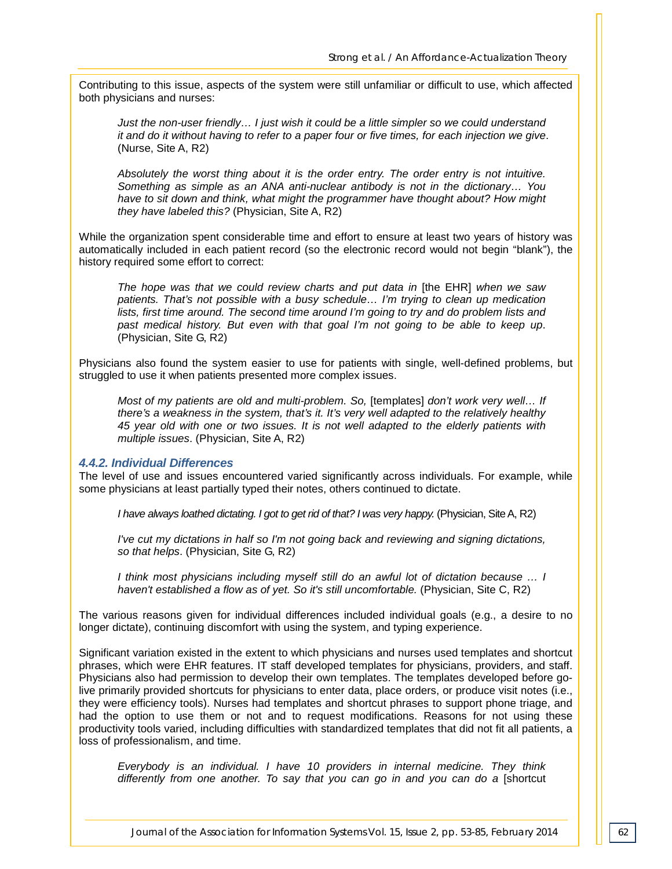Contributing to this issue, aspects of the system were still unfamiliar or difficult to use, which affected both physicians and nurses:

*Just the non-user friendly… I just wish it could be a little simpler so we could understand it and do it without having to refer to a paper four or five times, for each injection we give*. (Nurse, Site A, R2)

*Absolutely the worst thing about it is the order entry. The order entry is not intuitive. Something as simple as an ANA anti-nuclear antibody is not in the dictionary… You have to sit down and think, what might the programmer have thought about? How might they have labeled this?* (Physician, Site A, R2)

While the organization spent considerable time and effort to ensure at least two years of history was automatically included in each patient record (so the electronic record would not begin "blank"), the history required some effort to correct:

*The hope was that we could review charts and put data in* [the EHR] *when we saw patients. That's not possible with a busy schedule… I'm trying to clean up medication lists, first time around. The second time around I'm going to try and do problem lists and past medical history. But even with that goal I'm not going to be able to keep up*. (Physician, Site G, R2)

Physicians also found the system easier to use for patients with single, well-defined problems, but struggled to use it when patients presented more complex issues.

*Most of my patients are old and multi-problem. So,* [templates] *don't work very well… If there's a weakness in the system, that's it. It's very well adapted to the relatively healthy 45 year old with one or two issues. It is not well adapted to the elderly patients with multiple issues*. (Physician, Site A, R2)

#### *4.4.2. Individual Differences*

The level of use and issues encountered varied significantly across individuals. For example, while some physicians at least partially typed their notes, others continued to dictate.

*I have always loathed dictating. I got to get rid of that? I was very happy.* (Physician, Site A, R2)

*I've cut my dictations in half so I'm not going back and reviewing and signing dictations, so that helps*. (Physician, Site G, R2)

*I think most physicians including myself still do an awful lot of dictation because … I haven't established a flow as of yet. So it's still uncomfortable.* (Physician, Site C, R2)

The various reasons given for individual differences included individual goals (e.g., a desire to no longer dictate), continuing discomfort with using the system, and typing experience.

Significant variation existed in the extent to which physicians and nurses used templates and shortcut phrases, which were EHR features. IT staff developed templates for physicians, providers, and staff. Physicians also had permission to develop their own templates. The templates developed before golive primarily provided shortcuts for physicians to enter data, place orders, or produce visit notes (i.e., they were efficiency tools). Nurses had templates and shortcut phrases to support phone triage, and had the option to use them or not and to request modifications. Reasons for not using these productivity tools varied, including difficulties with standardized templates that did not fit all patients, a loss of professionalism, and time.

*Everybody is an individual. I have 10 providers in internal medicine. They think differently from one another. To say that you can go in and you can do a* [shortcut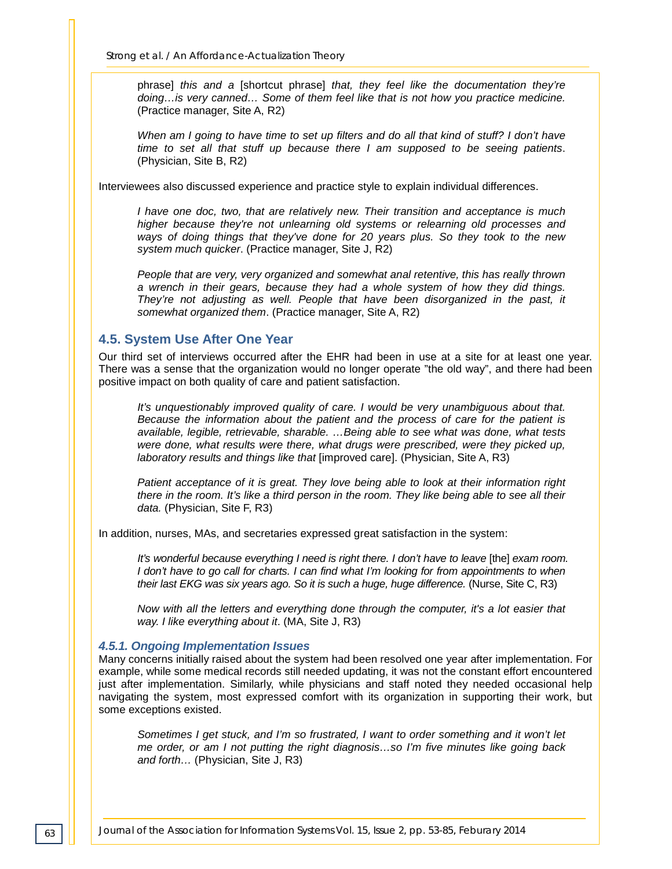phrase] *this and a* [shortcut phrase] *that, they feel like the documentation they're doing…is very canned… Some of them feel like that is not how you practice medicine.* (Practice manager, Site A, R2)

*When am I going to have time to set up filters and do all that kind of stuff? I don't have time to set all that stuff up because there I am supposed to be seeing patients*. (Physician, Site B, R2)

Interviewees also discussed experience and practice style to explain individual differences.

*I have one doc, two, that are relatively new. Their transition and acceptance is much higher because they're not unlearning old systems or relearning old processes and ways of doing things that they've done for 20 years plus. So they took to the new system much quicker*. (Practice manager, Site J, R2)

*People that are very, very organized and somewhat anal retentive, this has really thrown a wrench in their gears, because they had a whole system of how they did things.* They're not adjusting as well. People that have been disorganized in the past, it *somewhat organized them*. (Practice manager, Site A, R2)

#### **4.5. System Use After One Year**

Our third set of interviews occurred after the EHR had been in use at a site for at least one year. There was a sense that the organization would no longer operate "the old way", and there had been positive impact on both quality of care and patient satisfaction.

*It's unquestionably improved quality of care. I would be very unambiguous about that. Because the information about the patient and the process of care for the patient is available, legible, retrievable, sharable. …Being able to see what was done, what tests*  were done, what results were there, what drugs were prescribed, were they picked up, *laboratory results and things like that* [improved care]. (Physician, Site A, R3)

*Patient acceptance of it is great. They love being able to look at their information right there in the room. It's like a third person in the room. They like being able to see all their data.* (Physician, Site F, R3)

In addition, nurses, MAs, and secretaries expressed great satisfaction in the system:

*It's wonderful because everything I need is right there. I don't have to leave* [the] *exam room. I don't have to go call for charts. I can find what I'm looking for from appointments to when their last EKG was six years ago. So it is such a huge, huge difference.* (Nurse, Site C, R3)

*Now with all the letters and everything done through the computer, it's a lot easier that way. I like everything about it*. (MA, Site J, R3)

#### *4.5.1. Ongoing Implementation Issues*

Many concerns initially raised about the system had been resolved one year after implementation. For example, while some medical records still needed updating, it was not the constant effort encountered just after implementation. Similarly, while physicians and staff noted they needed occasional help navigating the system, most expressed comfort with its organization in supporting their work, but some exceptions existed.

*Sometimes I get stuck, and I'm so frustrated, I want to order something and it won't let me order, or am I not putting the right diagnosis…so I'm five minutes like going back and forth…* (Physician, Site J, R3)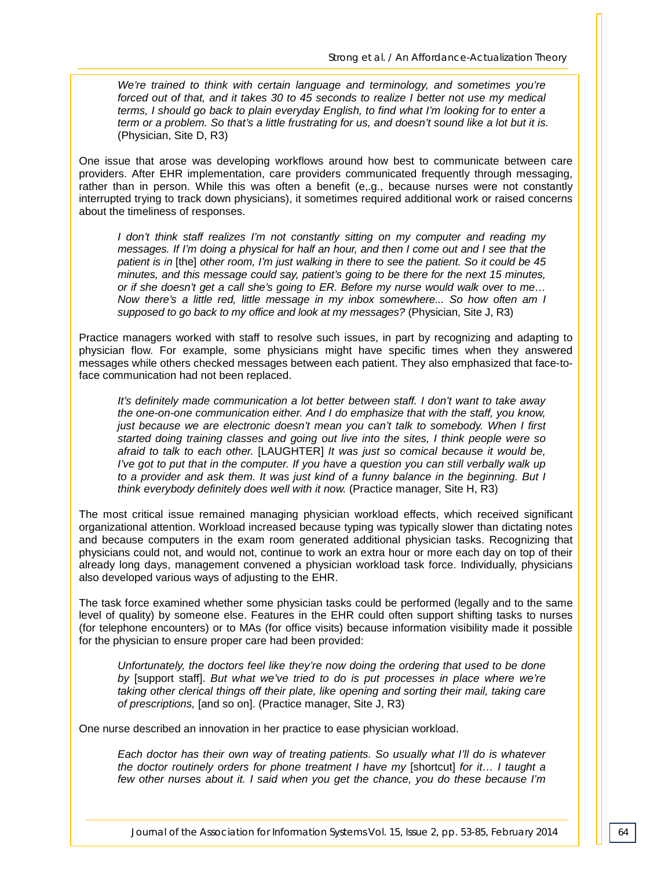*We're trained to think with certain language and terminology, and sometimes you're forced out of that, and it takes 30 to 45 seconds to realize I better not use my medical terms, I should go back to plain everyday English, to find what I'm looking for to enter a term or a problem. So that's a little frustrating for us, and doesn't sound like a lot but it is.* (Physician, Site D, R3)

One issue that arose was developing workflows around how best to communicate between care providers. After EHR implementation, care providers communicated frequently through messaging, rather than in person. While this was often a benefit (e,.g., because nurses were not constantly interrupted trying to track down physicians), it sometimes required additional work or raised concerns about the timeliness of responses.

*I don't think staff realizes I'm not constantly sitting on my computer and reading my messages. If I'm doing a physical for half an hour, and then I come out and I see that the patient is in* [the] *other room, I'm just walking in there to see the patient. So it could be 45 minutes, and this message could say, patient's going to be there for the next 15 minutes, or if she doesn't get a call she's going to ER. Before my nurse would walk over to me… Now there's a little red, little message in my inbox somewhere... So how often am I supposed to go back to my office and look at my messages?* (Physician, Site J, R3)

Practice managers worked with staff to resolve such issues, in part by recognizing and adapting to physician flow. For example, some physicians might have specific times when they answered messages while others checked messages between each patient. They also emphasized that face-toface communication had not been replaced.

*It's definitely made communication a lot better between staff. I don't want to take away the one-on-one communication either. And I do emphasize that with the staff, you know, just because we are electronic doesn't mean you can't talk to somebody. When I first started doing training classes and going out live into the sites, I think people were so afraid to talk to each other.* [LAUGHTER] *It was just so comical because it would be, I've got to put that in the computer. If you have a question you can still verbally walk up to a provider and ask them. It was just kind of a funny balance in the beginning. But I think everybody definitely does well with it now.* (Practice manager, Site H, R3)

The most critical issue remained managing physician workload effects, which received significant organizational attention. Workload increased because typing was typically slower than dictating notes and because computers in the exam room generated additional physician tasks. Recognizing that physicians could not, and would not, continue to work an extra hour or more each day on top of their already long days, management convened a physician workload task force. Individually, physicians also developed various ways of adjusting to the EHR.

The task force examined whether some physician tasks could be performed (legally and to the same level of quality) by someone else. Features in the EHR could often support shifting tasks to nurses (for telephone encounters) or to MAs (for office visits) because information visibility made it possible for the physician to ensure proper care had been provided:

*Unfortunately, the doctors feel like they're now doing the ordering that used to be done by* [support staff]. *But what we've tried to do is put processes in place where we're taking other clerical things off their plate, like opening and sorting their mail, taking care of prescriptions,* [and so on]. (Practice manager, Site J, R3)

One nurse described an innovation in her practice to ease physician workload.

*Each doctor has their own way of treating patients. So usually what I'll do is whatever the doctor routinely orders for phone treatment I have my [shortcut] for it… I taught a few other nurses about it. I said when you get the chance, you do these because I'm*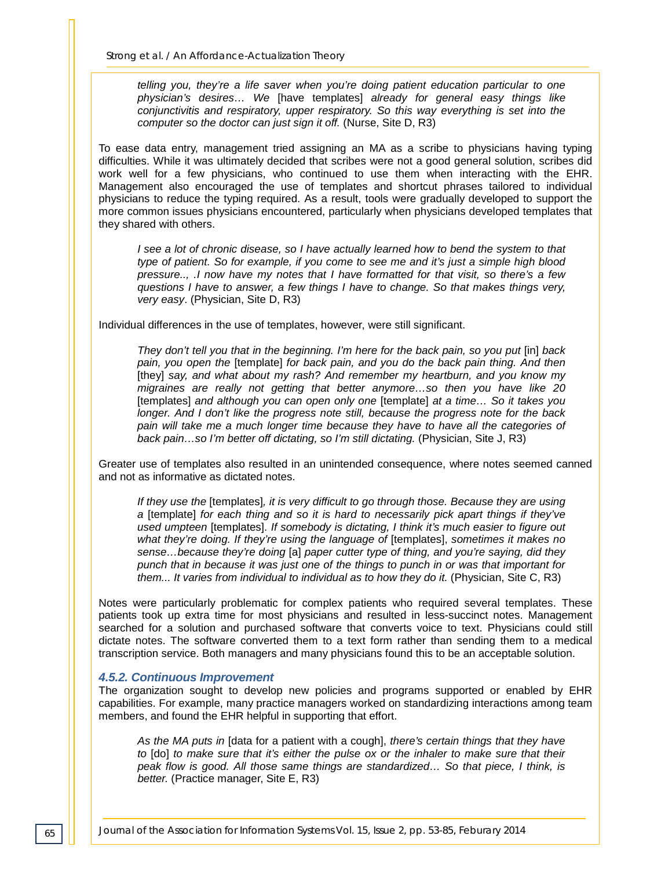*telling you, they're a life saver when you're doing patient education particular to one physician's desires… We* [have templates] *already for general easy things like conjunctivitis and respiratory, upper respiratory. So this way everything is set into the computer so the doctor can just sign it off.* (Nurse, Site D, R3)

To ease data entry, management tried assigning an MA as a scribe to physicians having typing difficulties. While it was ultimately decided that scribes were not a good general solution, scribes did work well for a few physicians, who continued to use them when interacting with the EHR. Management also encouraged the use of templates and shortcut phrases tailored to individual physicians to reduce the typing required. As a result, tools were gradually developed to support the more common issues physicians encountered, particularly when physicians developed templates that they shared with others.

*I see a lot of chronic disease, so I have actually learned how to bend the system to that type of patient. So for example, if you come to see me and it's just a simple high blood pressure.., .I now have my notes that I have formatted for that visit, so there's a few questions I have to answer, a few things I have to change. So that makes things very, very easy*. (Physician, Site D, R3)

Individual differences in the use of templates, however, were still significant.

*They don't tell you that in the beginning. I'm here for the back pain, so you put* [in] *back pain, you open the* [template] *for back pain, and you do the back pain thing. And then*  [they] *say, and what about my rash? And remember my heartburn, and you know my migraines are really not getting that better anymore…so then you have like 20*  [templates] *and although you can open only one* [template] *at a time… So it takes you longer. And I don't like the progress note still, because the progress note for the back pain will take me a much longer time because they have to have all the categories of back pain…so I'm better off dictating, so I'm still dictating.* (Physician, Site J, R3)

Greater use of templates also resulted in an unintended consequence, where notes seemed canned and not as informative as dictated notes.

*If they use the* [templates]*, it is very difficult to go through those. Because they are using a* [template] *for each thing and so it is hard to necessarily pick apart things if they've used umpteen* [templates]. *If somebody is dictating, I think it's much easier to figure out what they're doing. If they're using the language of* [templates], *sometimes it makes no sense…because they're doing* [a] *paper cutter type of thing, and you're saying, did they punch that in because it was just one of the things to punch in or was that important for them... It varies from individual to individual as to how they do it. (Physician, Site C, R3)* 

Notes were particularly problematic for complex patients who required several templates. These patients took up extra time for most physicians and resulted in less-succinct notes. Management searched for a solution and purchased software that converts voice to text. Physicians could still dictate notes. The software converted them to a text form rather than sending them to a medical transcription service. Both managers and many physicians found this to be an acceptable solution.

#### *4.5.2. Continuous Improvement*

The organization sought to develop new policies and programs supported or enabled by EHR capabilities. For example, many practice managers worked on standardizing interactions among team members, and found the EHR helpful in supporting that effort.

*As the MA puts in* [data for a patient with a cough], *there's certain things that they have to* [do] *to make sure that it's either the pulse ox or the inhaler to make sure that their peak flow is good. All those same things are standardized… So that piece, I think, is better.* (Practice manager, Site E, R3)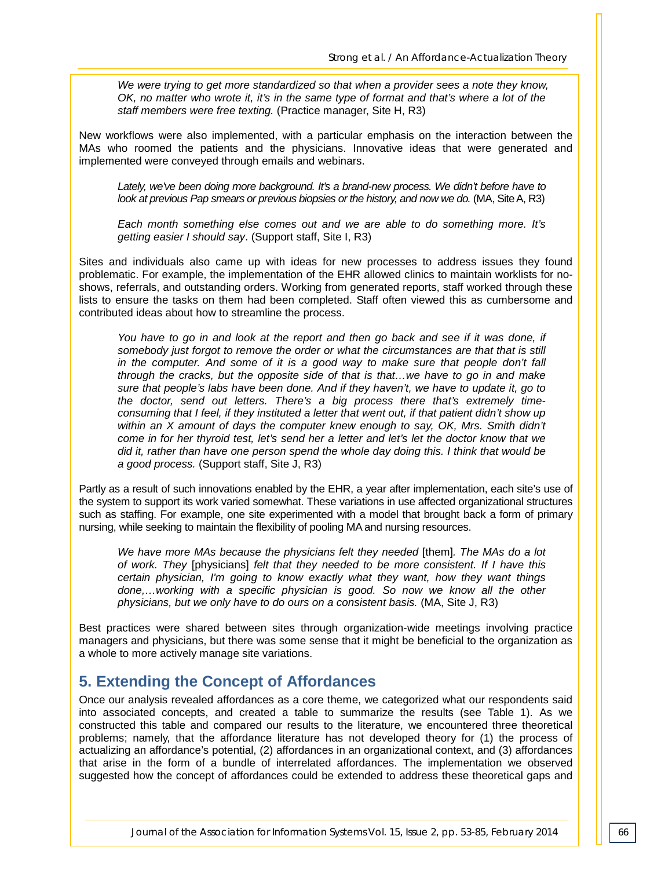*We were trying to get more standardized so that when a provider sees a note they know, OK, no matter who wrote it, it's in the same type of format and that's where a lot of the staff members were free texting.* (Practice manager, Site H, R3)

New workflows were also implemented, with a particular emphasis on the interaction between the MAs who roomed the patients and the physicians. Innovative ideas that were generated and implemented were conveyed through emails and webinars.

*Lately, we've been doing more background. It's a brand-new process. We didn't before have to look at previous Pap smears or previous biopsies or the history, and now we do.* (MA, Site A, R3)

*Each month something else comes out and we are able to do something more. It's getting easier I should say*. (Support staff, Site I, R3)

Sites and individuals also came up with ideas for new processes to address issues they found problematic. For example, the implementation of the EHR allowed clinics to maintain worklists for noshows, referrals, and outstanding orders. Working from generated reports, staff worked through these lists to ensure the tasks on them had been completed. Staff often viewed this as cumbersome and contributed ideas about how to streamline the process.

You have to go in and look at the report and then go back and see if it was done, if *somebody just forgot to remove the order or what the circumstances are that that is still in the computer. And some of it is a good way to make sure that people don't fall through the cracks, but the opposite side of that is that…we have to go in and make sure that people's labs have been done. And if they haven't, we have to update it, go to the doctor, send out letters. There's a big process there that's extremely timeconsuming that I feel, if they instituted a letter that went out, if that patient didn't show up within an X amount of days the computer knew enough to say, OK, Mrs. Smith didn't come in for her thyroid test, let's send her a letter and let's let the doctor know that we did it, rather than have one person spend the whole day doing this. I think that would be a good process.* (Support staff, Site J, R3)

Partly as a result of such innovations enabled by the EHR, a year after implementation, each site's use of the system to support its work varied somewhat. These variations in use affected organizational structures such as staffing. For example, one site experimented with a model that brought back a form of primary nursing, while seeking to maintain the flexibility of pooling MA and nursing resources.

*We have more MAs because the physicians felt they needed* [them]*. The MAs do a lot of work. They* [physicians] *felt that they needed to be more consistent. If I have this certain physician, I'm going to know exactly what they want, how they want things done,…working with a specific physician is good. So now we know all the other physicians, but we only have to do ours on a consistent basis.* (MA, Site J, R3)

Best practices were shared between sites through organization-wide meetings involving practice managers and physicians, but there was some sense that it might be beneficial to the organization as a whole to more actively manage site variations.

# **5. Extending the Concept of Affordances**

Once our analysis revealed affordances as a core theme, we categorized what our respondents said into associated concepts, and created a table to summarize the results (see Table 1). As we constructed this table and compared our results to the literature, we encountered three theoretical problems; namely, that the affordance literature has not developed theory for (1) the process of actualizing an affordance's potential, (2) affordances in an organizational context, and (3) affordances that arise in the form of a bundle of interrelated affordances. The implementation we observed suggested how the concept of affordances could be extended to address these theoretical gaps and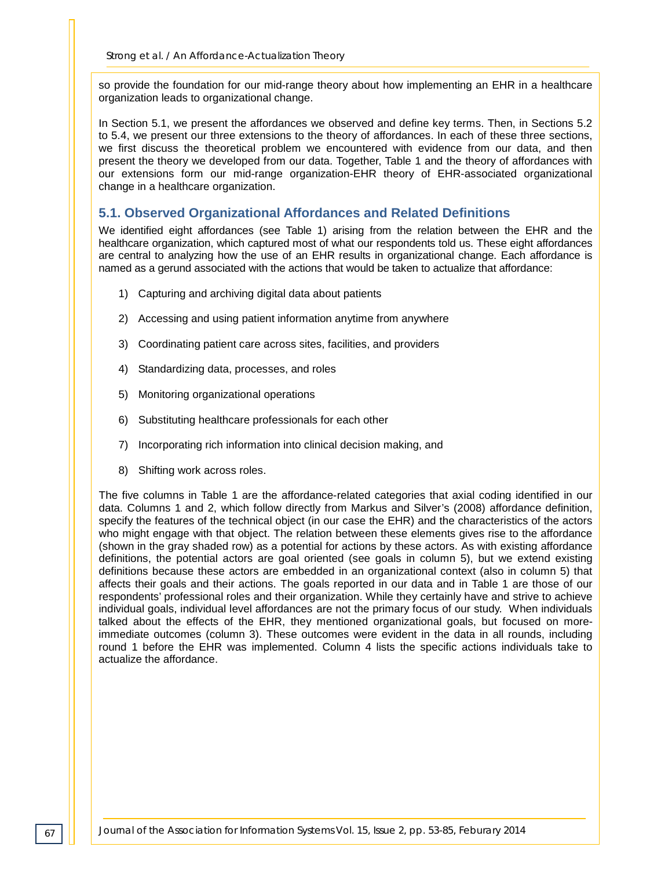so provide the foundation for our mid-range theory about how implementing an EHR in a healthcare organization leads to organizational change.

In Section 5.1, we present the affordances we observed and define key terms. Then, in Sections 5.2 to 5.4, we present our three extensions to the theory of affordances. In each of these three sections, we first discuss the theoretical problem we encountered with evidence from our data, and then present the theory we developed from our data. Together, Table 1 and the theory of affordances with our extensions form our mid-range organization-EHR theory of EHR-associated organizational change in a healthcare organization.

#### **5.1. Observed Organizational Affordances and Related Definitions**

We identified eight affordances (see Table 1) arising from the relation between the EHR and the healthcare organization, which captured most of what our respondents told us. These eight affordances are central to analyzing how the use of an EHR results in organizational change. Each affordance is named as a gerund associated with the actions that would be taken to actualize that affordance:

- 1) Capturing and archiving digital data about patients
- 2) Accessing and using patient information anytime from anywhere
- 3) Coordinating patient care across sites, facilities, and providers
- 4) Standardizing data, processes, and roles
- 5) Monitoring organizational operations
- 6) Substituting healthcare professionals for each other
- 7) Incorporating rich information into clinical decision making, and
- 8) Shifting work across roles.

The five columns in Table 1 are the affordance-related categories that axial coding identified in our data. Columns 1 and 2, which follow directly from Markus and Silver's (2008) affordance definition, specify the features of the technical object (in our case the EHR) and the characteristics of the actors who might engage with that object. The relation between these elements gives rise to the affordance (shown in the gray shaded row) as a potential for actions by these actors. As with existing affordance definitions, the potential actors are goal oriented (see goals in column 5), but we extend existing definitions because these actors are embedded in an organizational context (also in column 5) that affects their goals and their actions. The goals reported in our data and in Table 1 are those of our respondents' professional roles and their organization. While they certainly have and strive to achieve individual goals, individual level affordances are not the primary focus of our study. When individuals talked about the effects of the EHR, they mentioned organizational goals, but focused on moreimmediate outcomes (column 3). These outcomes were evident in the data in all rounds, including round 1 before the EHR was implemented. Column 4 lists the specific actions individuals take to actualize the affordance.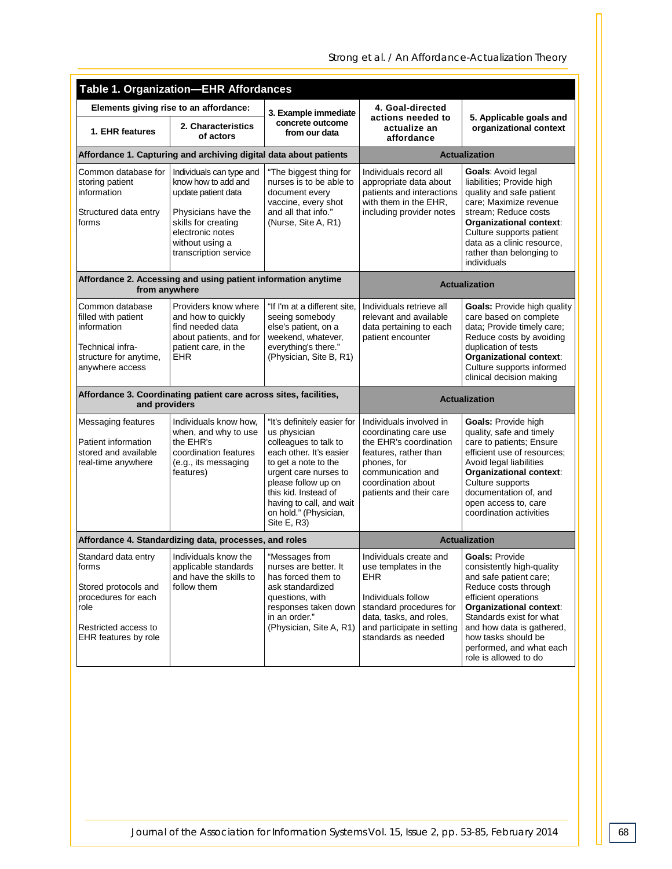| <b>Table 1. Organization-EHR Affordances</b>                                                                                        |                                                                                                                                                                                      |                                                                                                                                                                                                                                                                     |                                                                                                                                                                                          |                                                                                                                                                                                                                                                                                              |  |  |  |
|-------------------------------------------------------------------------------------------------------------------------------------|--------------------------------------------------------------------------------------------------------------------------------------------------------------------------------------|---------------------------------------------------------------------------------------------------------------------------------------------------------------------------------------------------------------------------------------------------------------------|------------------------------------------------------------------------------------------------------------------------------------------------------------------------------------------|----------------------------------------------------------------------------------------------------------------------------------------------------------------------------------------------------------------------------------------------------------------------------------------------|--|--|--|
| Elements giving rise to an affordance:                                                                                              |                                                                                                                                                                                      | 3. Example immediate                                                                                                                                                                                                                                                | 4. Goal-directed                                                                                                                                                                         |                                                                                                                                                                                                                                                                                              |  |  |  |
| 1. EHR features                                                                                                                     | 2. Characteristics<br>of actors                                                                                                                                                      | concrete outcome<br>from our data                                                                                                                                                                                                                                   | actions needed to<br>actualize an<br>affordance                                                                                                                                          | 5. Applicable goals and<br>organizational context                                                                                                                                                                                                                                            |  |  |  |
| Affordance 1. Capturing and archiving digital data about patients                                                                   |                                                                                                                                                                                      |                                                                                                                                                                                                                                                                     | <b>Actualization</b>                                                                                                                                                                     |                                                                                                                                                                                                                                                                                              |  |  |  |
| Common database for<br>storing patient<br>information<br>Structured data entry<br>forms                                             | Individuals can type and<br>know how to add and<br>update patient data<br>Physicians have the<br>skills for creating<br>electronic notes<br>without using a<br>transcription service | "The biggest thing for<br>nurses is to be able to<br>document every<br>vaccine, every shot<br>and all that info."<br>(Nurse, Site A, R1)                                                                                                                            | Individuals record all<br>appropriate data about<br>patients and interactions<br>with them in the EHR,<br>including provider notes                                                       | Goals: Avoid legal<br>liabilities; Provide high<br>quality and safe patient<br>care: Maximize revenue<br>stream; Reduce costs<br>Organizational context:<br>Culture supports patient<br>data as a clinic resource,<br>rather than belonging to<br>individuals                                |  |  |  |
| Affordance 2. Accessing and using patient information anytime<br>from anywhere                                                      |                                                                                                                                                                                      |                                                                                                                                                                                                                                                                     | <b>Actualization</b>                                                                                                                                                                     |                                                                                                                                                                                                                                                                                              |  |  |  |
| Common database<br>filled with patient<br>information<br>Technical infra-<br>structure for anytime,<br>anywhere access              | Providers know where<br>and how to quickly<br>find needed data<br>about patients, and for<br>patient care, in the<br><b>EHR</b>                                                      | "If I'm at a different site,<br>seeing somebody<br>else's patient, on a<br>weekend, whatever,<br>everything's there."<br>(Physician, Site B, R1)                                                                                                                    | Individuals retrieve all<br>relevant and available<br>data pertaining to each<br>patient encounter                                                                                       | <b>Goals:</b> Provide high quality<br>care based on complete<br>data; Provide timely care;<br>Reduce costs by avoiding<br>duplication of tests<br>Organizational context:<br>Culture supports informed<br>clinical decision making                                                           |  |  |  |
| Affordance 3. Coordinating patient care across sites, facilities,<br>and providers                                                  |                                                                                                                                                                                      |                                                                                                                                                                                                                                                                     | <b>Actualization</b>                                                                                                                                                                     |                                                                                                                                                                                                                                                                                              |  |  |  |
| <b>Messaging features</b><br>Patient information<br>stored and available<br>real-time anywhere                                      | Individuals know how,<br>when, and why to use<br>the EHR's<br>coordination features<br>(e.g., its messaging<br>features)                                                             | "It's definitely easier for<br>us physician<br>colleagues to talk to<br>each other. It's easier<br>to get a note to the<br>urgent care nurses to<br>please follow up on<br>this kid. Instead of<br>having to call, and wait<br>on hold." (Physician,<br>Site E, R3) | Individuals involved in<br>coordinating care use<br>the EHR's coordination<br>features, rather than<br>phones, for<br>communication and<br>coordination about<br>patients and their care | Goals: Provide high<br>quality, safe and timely<br>care to patients; Ensure<br>efficient use of resources;<br>Avoid legal liabilities<br><b>Organizational context:</b><br>Culture supports<br>documentation of, and<br>open access to, care<br>coordination activities                      |  |  |  |
| Affordance 4. Standardizing data, processes, and roles                                                                              |                                                                                                                                                                                      |                                                                                                                                                                                                                                                                     | <b>Actualization</b>                                                                                                                                                                     |                                                                                                                                                                                                                                                                                              |  |  |  |
| Standard data entry<br>forms<br>Stored protocols and<br>procedures for each<br>role<br>Restricted access to<br>EHR features by role | Individuals know the<br>applicable standards<br>and have the skills to<br>follow them                                                                                                | "Messages from<br>nurses are better. It<br>has forced them to<br>ask standardized<br>questions, with<br>responses taken down<br>in an order."<br>(Physician, Site A, R1)                                                                                            | Individuals create and<br>use templates in the<br>EHR<br>Individuals follow<br>standard procedures for<br>data, tasks, and roles,<br>and participate in setting<br>standards as needed   | <b>Goals: Provide</b><br>consistently high-quality<br>and safe patient care;<br>Reduce costs through<br>efficient operations<br>Organizational context:<br>Standards exist for what<br>and how data is gathered,<br>how tasks should be<br>performed, and what each<br>role is allowed to do |  |  |  |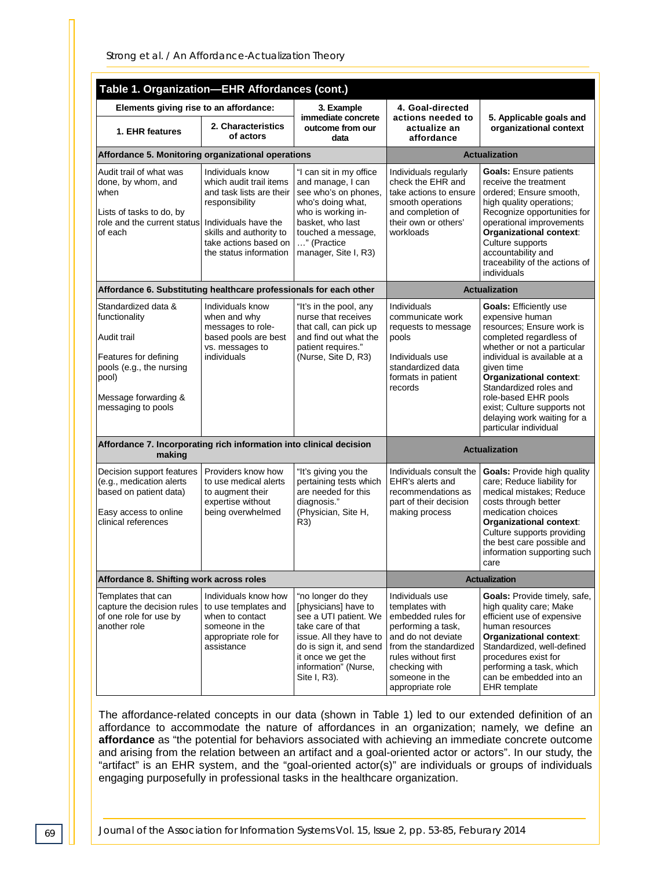| Table 1. Organization-EHR Affordances (cont.)                                                                                                                   |                                                                                                                                                                                                 |                                                                                                                                                                                                              |                                                                                                                                                                                                            |                                                                                                                                                                                                                                                                                                                                                           |  |  |  |
|-----------------------------------------------------------------------------------------------------------------------------------------------------------------|-------------------------------------------------------------------------------------------------------------------------------------------------------------------------------------------------|--------------------------------------------------------------------------------------------------------------------------------------------------------------------------------------------------------------|------------------------------------------------------------------------------------------------------------------------------------------------------------------------------------------------------------|-----------------------------------------------------------------------------------------------------------------------------------------------------------------------------------------------------------------------------------------------------------------------------------------------------------------------------------------------------------|--|--|--|
| Elements giving rise to an affordance:                                                                                                                          |                                                                                                                                                                                                 | 3. Example                                                                                                                                                                                                   | 4. Goal-directed                                                                                                                                                                                           |                                                                                                                                                                                                                                                                                                                                                           |  |  |  |
| 1. EHR features                                                                                                                                                 | 2. Characteristics<br>of actors                                                                                                                                                                 | immediate concrete<br>outcome from our<br>data                                                                                                                                                               | actions needed to<br>actualize an<br>affordance                                                                                                                                                            | 5. Applicable goals and<br>organizational context                                                                                                                                                                                                                                                                                                         |  |  |  |
| Affordance 5. Monitoring organizational operations                                                                                                              |                                                                                                                                                                                                 |                                                                                                                                                                                                              | <b>Actualization</b>                                                                                                                                                                                       |                                                                                                                                                                                                                                                                                                                                                           |  |  |  |
| Audit trail of what was<br>done, by whom, and<br>when<br>Lists of tasks to do, by<br>role and the current status<br>of each                                     | Individuals know<br>which audit trail items<br>and task lists are their<br>responsibility<br>Individuals have the<br>skills and authority to<br>take actions based on<br>the status information | "I can sit in my office<br>and manage, I can<br>see who's on phones,<br>who's doing what,<br>who is working in-<br>basket, who last<br>touched a message,<br>" (Practice<br>manager, Site I, R3)             | Individuals regularly<br>check the EHR and<br>take actions to ensure<br>smooth operations<br>and completion of<br>their own or others'<br>workloads                                                        | <b>Goals:</b> Ensure patients<br>receive the treatment<br>ordered; Ensure smooth,<br>high quality operations;<br>Recognize opportunities for<br>operational improvements<br>Organizational context:<br>Culture supports<br>accountability and<br>traceability of the actions of<br>individuals                                                            |  |  |  |
| Affordance 6. Substituting healthcare professionals for each other                                                                                              |                                                                                                                                                                                                 |                                                                                                                                                                                                              | <b>Actualization</b>                                                                                                                                                                                       |                                                                                                                                                                                                                                                                                                                                                           |  |  |  |
| Standardized data &<br>functionality<br>Audit trail<br>Features for defining<br>pools (e.g., the nursing<br>pool)<br>Message forwarding &<br>messaging to pools | Individuals know<br>when and why<br>messages to role-<br>based pools are best<br>vs. messages to<br>individuals                                                                                 | "It's in the pool, any<br>nurse that receives<br>that call, can pick up<br>and find out what the<br>patient requires."<br>(Nurse, Site D, R3)                                                                | Individuals<br>communicate work<br>requests to message<br>pools<br>Individuals use<br>standardized data<br>formats in patient<br>records                                                                   | <b>Goals: Efficiently use</b><br>expensive human<br>resources: Ensure work is<br>completed regardless of<br>whether or not a particular<br>individual is available at a<br>aiven time<br>Organizational context:<br>Standardized roles and<br>role-based EHR pools<br>exist; Culture supports not<br>delaying work waiting for a<br>particular individual |  |  |  |
| Affordance 7. Incorporating rich information into clinical decision<br>making                                                                                   |                                                                                                                                                                                                 | <b>Actualization</b>                                                                                                                                                                                         |                                                                                                                                                                                                            |                                                                                                                                                                                                                                                                                                                                                           |  |  |  |
| Decision support features<br>(e.g., medication alerts<br>based on patient data)<br>Easy access to online<br>clinical references                                 | Providers know how<br>to use medical alerts<br>to augment their<br>expertise without<br>being overwhelmed                                                                                       | "It's giving you the<br>pertaining tests which<br>are needed for this<br>diagnosis."<br>(Physician, Site H,<br>R3)                                                                                           | Individuals consult the<br>EHR's alerts and<br>recommendations as<br>part of their decision<br>making process                                                                                              | <b>Goals: Provide high quality</b><br>care; Reduce liability for<br>medical mistakes; Reduce<br>costs through better<br>medication choices<br>Organizational context:<br>Culture supports providing<br>the best care possible and<br>information supporting such<br>care                                                                                  |  |  |  |
| Affordance 8. Shifting work across roles                                                                                                                        |                                                                                                                                                                                                 |                                                                                                                                                                                                              | <b>Actualization</b>                                                                                                                                                                                       |                                                                                                                                                                                                                                                                                                                                                           |  |  |  |
| Templates that can<br>capture the decision rules<br>of one role for use by<br>another role                                                                      | Individuals know how<br>to use templates and<br>when to contact<br>someone in the<br>appropriate role for<br>assistance                                                                         | "no longer do they<br>[physicians] have to<br>see a UTI patient. We<br>take care of that<br>issue. All they have to<br>do is sign it, and send<br>it once we get the<br>information" (Nurse,<br>Site I, R3). | Individuals use<br>templates with<br>embedded rules for<br>performing a task,<br>and do not deviate<br>from the standardized<br>rules without first<br>checking with<br>someone in the<br>appropriate role | Goals: Provide timely, safe,<br>high quality care; Make<br>efficient use of expensive<br>human resources<br><b>Organizational context:</b><br>Standardized, well-defined<br>procedures exist for<br>performing a task, which<br>can be embedded into an<br><b>EHR</b> template                                                                            |  |  |  |

The affordance-related concepts in our data (shown in Table 1) led to our extended definition of an affordance to accommodate the nature of affordances in an organization; namely, we define an **affordance** as "the potential for behaviors associated with achieving an immediate concrete outcome and arising from the relation between an artifact and a goal-oriented actor or actors". In our study, the "artifact" is an EHR system, and the "goal-oriented actor(s)" are individuals or groups of individuals engaging purposefully in professional tasks in the healthcare organization.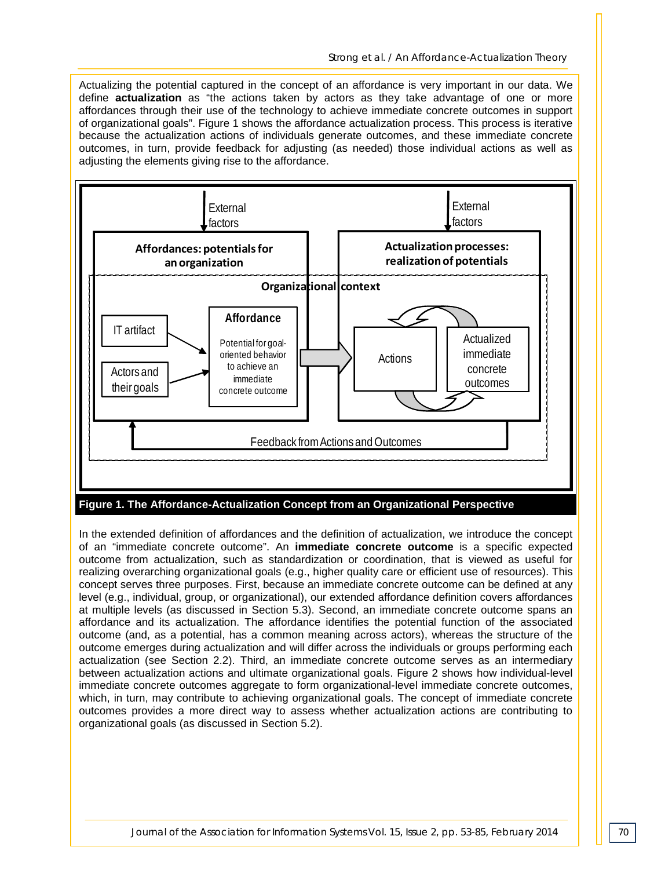Actualizing the potential captured in the concept of an affordance is very important in our data. We define **actualization** as "the actions taken by actors as they take advantage of one or more affordances through their use of the technology to achieve immediate concrete outcomes in support of organizational goals". Figure 1 shows the affordance actualization process. This process is iterative because the actualization actions of individuals generate outcomes, and these immediate concrete outcomes, in turn, provide feedback for adjusting (as needed) those individual actions as well as adjusting the elements giving rise to the affordance.



In the extended definition of affordances and the definition of actualization, we introduce the concept of an "immediate concrete outcome". An **immediate concrete outcome** is a specific expected outcome from actualization, such as standardization or coordination, that is viewed as useful for realizing overarching organizational goals (e.g., higher quality care or efficient use of resources). This concept serves three purposes. First, because an immediate concrete outcome can be defined at any level (e.g., individual, group, or organizational), our extended affordance definition covers affordances at multiple levels (as discussed in Section 5.3). Second, an immediate concrete outcome spans an affordance and its actualization. The affordance identifies the potential function of the associated outcome (and, as a potential, has a common meaning across actors), whereas the structure of the outcome emerges during actualization and will differ across the individuals or groups performing each actualization (see Section 2.2). Third, an immediate concrete outcome serves as an intermediary between actualization actions and ultimate organizational goals. Figure 2 shows how individual-level immediate concrete outcomes aggregate to form organizational-level immediate concrete outcomes, which, in turn, may contribute to achieving organizational goals. The concept of immediate concrete outcomes provides a more direct way to assess whether actualization actions are contributing to organizational goals (as discussed in Section 5.2).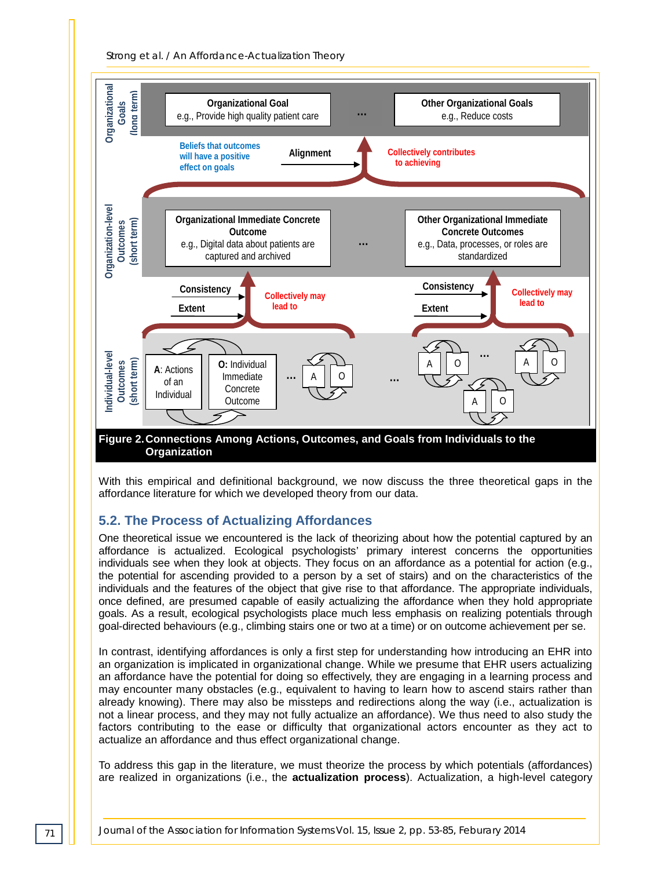



With this empirical and definitional background, we now discuss the three theoretical gaps in the affordance literature for which we developed theory from our data.

## **5.2. The Process of Actualizing Affordances**

One theoretical issue we encountered is the lack of theorizing about how the potential captured by an affordance is actualized. Ecological psychologists' primary interest concerns the opportunities individuals see when they look at objects. They focus on an affordance as a potential for action (e.g., the potential for ascending provided to a person by a set of stairs) and on the characteristics of the individuals and the features of the object that give rise to that affordance. The appropriate individuals, once defined, are presumed capable of easily actualizing the affordance when they hold appropriate goals. As a result, ecological psychologists place much less emphasis on realizing potentials through goal-directed behaviours (e.g., climbing stairs one or two at a time) or on outcome achievement per se.

In contrast, identifying affordances is only a first step for understanding how introducing an EHR into an organization is implicated in organizational change. While we presume that EHR users actualizing an affordance have the potential for doing so effectively, they are engaging in a learning process and may encounter many obstacles (e.g., equivalent to having to learn how to ascend stairs rather than already knowing). There may also be missteps and redirections along the way (i.e., actualization is not a linear process, and they may not fully actualize an affordance). We thus need to also study the factors contributing to the ease or difficulty that organizational actors encounter as they act to actualize an affordance and thus effect organizational change.

To address this gap in the literature, we must theorize the process by which potentials (affordances) are realized in organizations (i.e., the **actualization process**). Actualization, a high-level category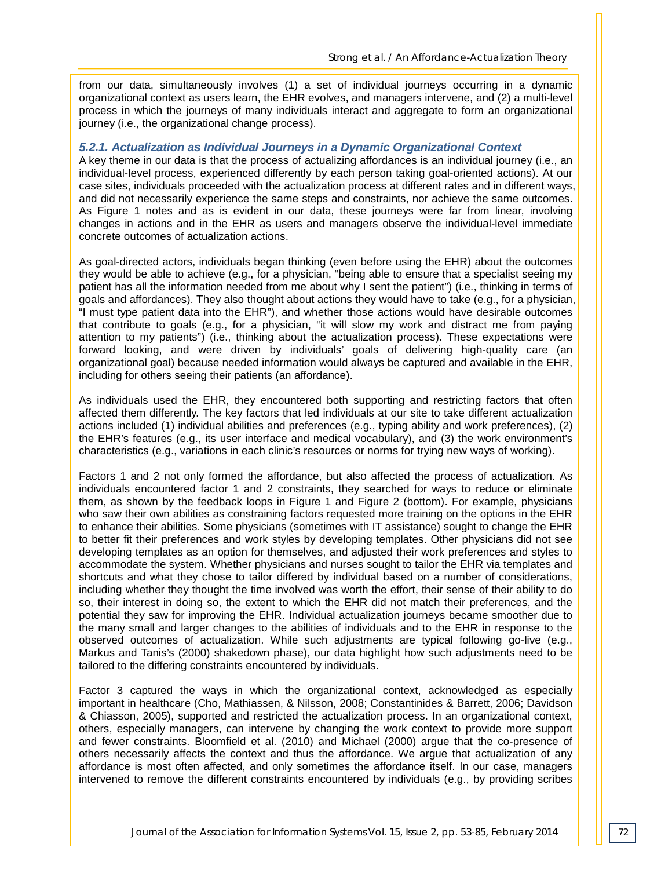from our data, simultaneously involves (1) a set of individual journeys occurring in a dynamic organizational context as users learn, the EHR evolves, and managers intervene, and (2) a multi-level process in which the journeys of many individuals interact and aggregate to form an organizational journey (i.e., the organizational change process).

#### *5.2.1. Actualization as Individual Journeys in a Dynamic Organizational Context*

A key theme in our data is that the process of actualizing affordances is an individual journey (i.e., an individual-level process, experienced differently by each person taking goal-oriented actions). At our case sites, individuals proceeded with the actualization process at different rates and in different ways, and did not necessarily experience the same steps and constraints, nor achieve the same outcomes. As Figure 1 notes and as is evident in our data, these journeys were far from linear, involving changes in actions and in the EHR as users and managers observe the individual-level immediate concrete outcomes of actualization actions.

As goal-directed actors, individuals began thinking (even before using the EHR) about the outcomes they would be able to achieve (e.g., for a physician, "being able to ensure that a specialist seeing my patient has all the information needed from me about why I sent the patient") (i.e., thinking in terms of goals and affordances). They also thought about actions they would have to take (e.g., for a physician, "I must type patient data into the EHR"), and whether those actions would have desirable outcomes that contribute to goals (e.g., for a physician, "it will slow my work and distract me from paying attention to my patients") (i.e., thinking about the actualization process). These expectations were forward looking, and were driven by individuals' goals of delivering high-quality care (an organizational goal) because needed information would always be captured and available in the EHR, including for others seeing their patients (an affordance).

As individuals used the EHR, they encountered both supporting and restricting factors that often affected them differently. The key factors that led individuals at our site to take different actualization actions included (1) individual abilities and preferences (e.g., typing ability and work preferences), (2) the EHR's features (e.g., its user interface and medical vocabulary), and (3) the work environment's characteristics (e.g., variations in each clinic's resources or norms for trying new ways of working).

Factors 1 and 2 not only formed the affordance, but also affected the process of actualization. As individuals encountered factor 1 and 2 constraints, they searched for ways to reduce or eliminate them, as shown by the feedback loops in Figure 1 and Figure 2 (bottom). For example, physicians who saw their own abilities as constraining factors requested more training on the options in the EHR to enhance their abilities. Some physicians (sometimes with IT assistance) sought to change the EHR to better fit their preferences and work styles by developing templates. Other physicians did not see developing templates as an option for themselves, and adjusted their work preferences and styles to accommodate the system. Whether physicians and nurses sought to tailor the EHR via templates and shortcuts and what they chose to tailor differed by individual based on a number of considerations, including whether they thought the time involved was worth the effort, their sense of their ability to do so, their interest in doing so, the extent to which the EHR did not match their preferences, and the potential they saw for improving the EHR. Individual actualization journeys became smoother due to the many small and larger changes to the abilities of individuals and to the EHR in response to the observed outcomes of actualization. While such adjustments are typical following go-live (e.g., Markus and Tanis's (2000) shakedown phase), our data highlight how such adjustments need to be tailored to the differing constraints encountered by individuals.

Factor 3 captured the ways in which the organizational context, acknowledged as especially important in healthcare (Cho, Mathiassen, & Nilsson, 2008; Constantinides & Barrett, 2006; Davidson & Chiasson, 2005), supported and restricted the actualization process. In an organizational context, others, especially managers, can intervene by changing the work context to provide more support and fewer constraints. Bloomfield et al. (2010) and Michael (2000) argue that the co-presence of others necessarily affects the context and thus the affordance. We argue that actualization of any affordance is most often affected, and only sometimes the affordance itself. In our case, managers intervened to remove the different constraints encountered by individuals (e.g., by providing scribes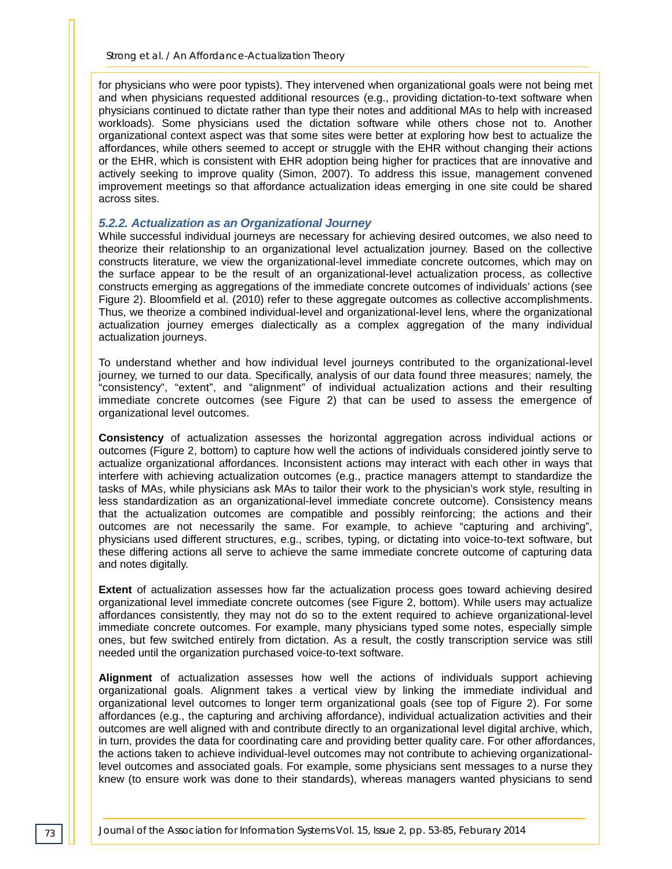for physicians who were poor typists). They intervened when organizational goals were not being met and when physicians requested additional resources (e.g., providing dictation-to-text software when physicians continued to dictate rather than type their notes and additional MAs to help with increased workloads). Some physicians used the dictation software while others chose not to. Another organizational context aspect was that some sites were better at exploring how best to actualize the affordances, while others seemed to accept or struggle with the EHR without changing their actions or the EHR, which is consistent with EHR adoption being higher for practices that are innovative and actively seeking to improve quality (Simon, 2007). To address this issue, management convened improvement meetings so that affordance actualization ideas emerging in one site could be shared across sites.

#### *5.2.2. Actualization as an Organizational Journey*

While successful individual journeys are necessary for achieving desired outcomes, we also need to theorize their relationship to an organizational level actualization journey. Based on the collective constructs literature, we view the organizational-level immediate concrete outcomes, which may on the surface appear to be the result of an organizational-level actualization process, as collective constructs emerging as aggregations of the immediate concrete outcomes of individuals' actions (see Figure 2). Bloomfield et al. (2010) refer to these aggregate outcomes as collective accomplishments. Thus, we theorize a combined individual-level and organizational-level lens, where the organizational actualization journey emerges dialectically as a complex aggregation of the many individual actualization journeys.

To understand whether and how individual level journeys contributed to the organizational-level journey, we turned to our data. Specifically, analysis of our data found three measures; namely, the "consistency", "extent", and "alignment" of individual actualization actions and their resulting immediate concrete outcomes (see Figure 2) that can be used to assess the emergence of organizational level outcomes.

**Consistency** of actualization assesses the horizontal aggregation across individual actions or outcomes (Figure 2, bottom) to capture how well the actions of individuals considered jointly serve to actualize organizational affordances. Inconsistent actions may interact with each other in ways that interfere with achieving actualization outcomes (e.g., practice managers attempt to standardize the tasks of MAs, while physicians ask MAs to tailor their work to the physician's work style, resulting in less standardization as an organizational-level immediate concrete outcome). Consistency means that the actualization outcomes are compatible and possibly reinforcing; the actions and their outcomes are not necessarily the same. For example, to achieve "capturing and archiving", physicians used different structures, e.g., scribes, typing, or dictating into voice-to-text software, but these differing actions all serve to achieve the same immediate concrete outcome of capturing data and notes digitally.

**Extent** of actualization assesses how far the actualization process goes toward achieving desired organizational level immediate concrete outcomes (see Figure 2, bottom). While users may actualize affordances consistently, they may not do so to the extent required to achieve organizational-level immediate concrete outcomes. For example, many physicians typed some notes, especially simple ones, but few switched entirely from dictation. As a result, the costly transcription service was still needed until the organization purchased voice-to-text software.

**Alignment** of actualization assesses how well the actions of individuals support achieving organizational goals. Alignment takes a vertical view by linking the immediate individual and organizational level outcomes to longer term organizational goals (see top of Figure 2). For some affordances (e.g., the capturing and archiving affordance), individual actualization activities and their outcomes are well aligned with and contribute directly to an organizational level digital archive, which, in turn, provides the data for coordinating care and providing better quality care. For other affordances, the actions taken to achieve individual-level outcomes may not contribute to achieving organizationallevel outcomes and associated goals. For example, some physicians sent messages to a nurse they knew (to ensure work was done to their standards), whereas managers wanted physicians to send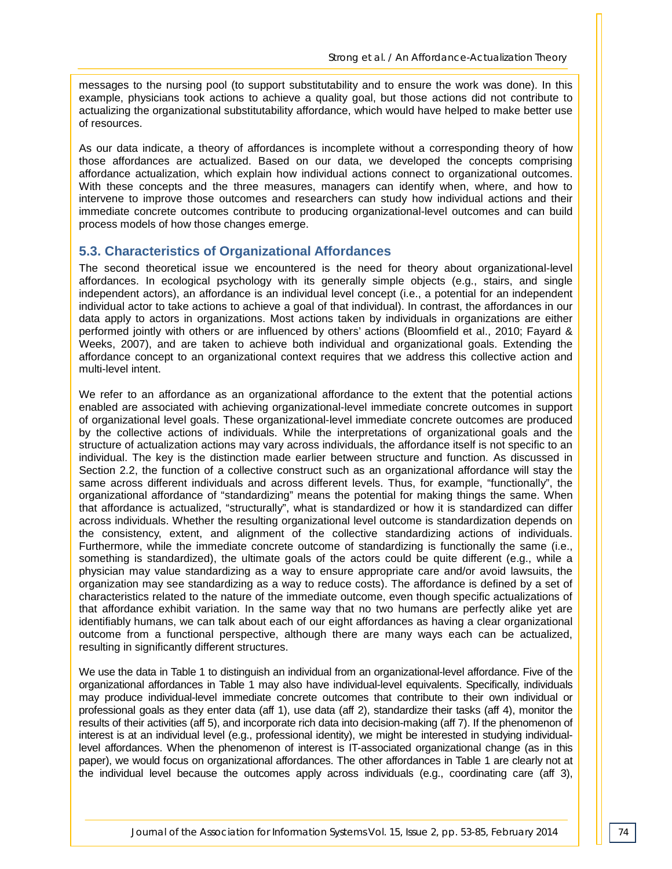messages to the nursing pool (to support substitutability and to ensure the work was done). In this example, physicians took actions to achieve a quality goal, but those actions did not contribute to actualizing the organizational substitutability affordance, which would have helped to make better use of resources.

As our data indicate, a theory of affordances is incomplete without a corresponding theory of how those affordances are actualized. Based on our data, we developed the concepts comprising affordance actualization, which explain how individual actions connect to organizational outcomes. With these concepts and the three measures, managers can identify when, where, and how to intervene to improve those outcomes and researchers can study how individual actions and their immediate concrete outcomes contribute to producing organizational-level outcomes and can build process models of how those changes emerge.

#### **5.3. Characteristics of Organizational Affordances**

The second theoretical issue we encountered is the need for theory about organizational-level affordances. In ecological psychology with its generally simple objects (e.g., stairs, and single independent actors), an affordance is an individual level concept (i.e., a potential for an independent individual actor to take actions to achieve a goal of that individual). In contrast, the affordances in our data apply to actors in organizations. Most actions taken by individuals in organizations are either performed jointly with others or are influenced by others' actions (Bloomfield et al., 2010; Fayard & Weeks, 2007), and are taken to achieve both individual and organizational goals. Extending the affordance concept to an organizational context requires that we address this collective action and multi-level intent.

We refer to an affordance as an organizational affordance to the extent that the potential actions enabled are associated with achieving organizational-level immediate concrete outcomes in support of organizational level goals. These organizational-level immediate concrete outcomes are produced by the collective actions of individuals. While the interpretations of organizational goals and the structure of actualization actions may vary across individuals, the affordance itself is not specific to an individual. The key is the distinction made earlier between structure and function. As discussed in Section 2.2, the function of a collective construct such as an organizational affordance will stay the same across different individuals and across different levels. Thus, for example, "functionally", the organizational affordance of "standardizing" means the potential for making things the same. When that affordance is actualized, "structurally", what is standardized or how it is standardized can differ across individuals. Whether the resulting organizational level outcome is standardization depends on the consistency, extent, and alignment of the collective standardizing actions of individuals. Furthermore, while the immediate concrete outcome of standardizing is functionally the same (i.e., something is standardized), the ultimate goals of the actors could be quite different (e.g., while a physician may value standardizing as a way to ensure appropriate care and/or avoid lawsuits, the organization may see standardizing as a way to reduce costs). The affordance is defined by a set of characteristics related to the nature of the immediate outcome, even though specific actualizations of that affordance exhibit variation. In the same way that no two humans are perfectly alike yet are identifiably humans, we can talk about each of our eight affordances as having a clear organizational outcome from a functional perspective, although there are many ways each can be actualized, resulting in significantly different structures.

We use the data in Table 1 to distinguish an individual from an organizational-level affordance. Five of the organizational affordances in Table 1 may also have individual-level equivalents. Specifically, individuals may produce individual-level immediate concrete outcomes that contribute to their own individual or professional goals as they enter data (aff 1), use data (aff 2), standardize their tasks (aff 4), monitor the results of their activities (aff 5), and incorporate rich data into decision-making (aff 7). If the phenomenon of interest is at an individual level (e.g., professional identity), we might be interested in studying individuallevel affordances. When the phenomenon of interest is IT-associated organizational change (as in this paper), we would focus on organizational affordances. The other affordances in Table 1 are clearly not at the individual level because the outcomes apply across individuals (e.g., coordinating care (aff 3),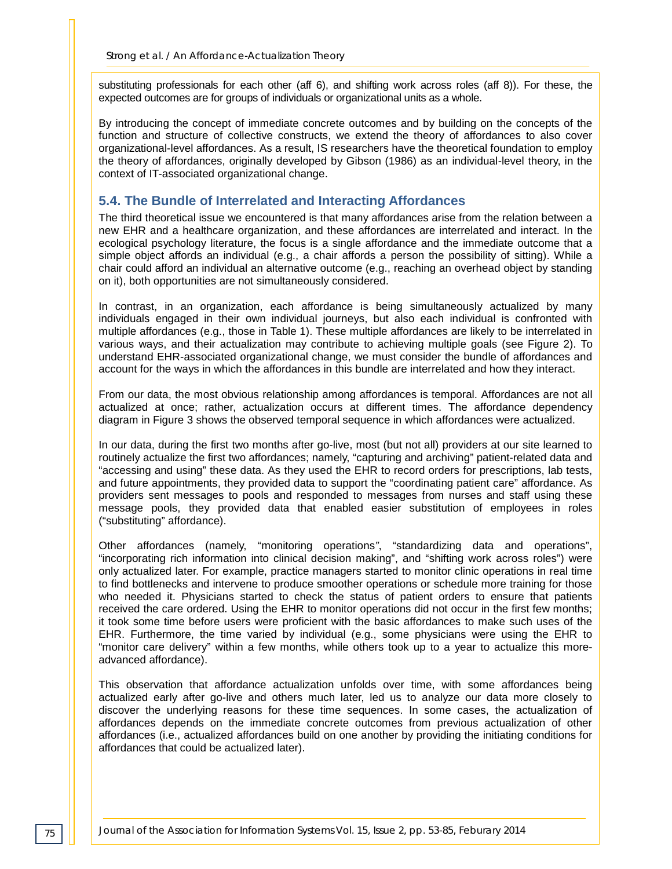substituting professionals for each other (aff 6), and shifting work across roles (aff 8)). For these, the expected outcomes are for groups of individuals or organizational units as a whole.

By introducing the concept of immediate concrete outcomes and by building on the concepts of the function and structure of collective constructs, we extend the theory of affordances to also cover organizational-level affordances. As a result, IS researchers have the theoretical foundation to employ the theory of affordances, originally developed by Gibson (1986) as an individual-level theory, in the context of IT-associated organizational change.

#### **5.4. The Bundle of Interrelated and Interacting Affordances**

The third theoretical issue we encountered is that many affordances arise from the relation between a new EHR and a healthcare organization, and these affordances are interrelated and interact. In the ecological psychology literature, the focus is a single affordance and the immediate outcome that a simple object affords an individual (e.g., a chair affords a person the possibility of sitting). While a chair could afford an individual an alternative outcome (e.g., reaching an overhead object by standing on it), both opportunities are not simultaneously considered.

In contrast, in an organization, each affordance is being simultaneously actualized by many individuals engaged in their own individual journeys, but also each individual is confronted with multiple affordances (e.g., those in Table 1). These multiple affordances are likely to be interrelated in various ways, and their actualization may contribute to achieving multiple goals (see Figure 2). To understand EHR-associated organizational change, we must consider the bundle of affordances and account for the ways in which the affordances in this bundle are interrelated and how they interact.

From our data, the most obvious relationship among affordances is temporal. Affordances are not all actualized at once; rather, actualization occurs at different times. The affordance dependency diagram in Figure 3 shows the observed temporal sequence in which affordances were actualized.

In our data, during the first two months after go-live, most (but not all) providers at our site learned to routinely actualize the first two affordances; namely, "capturing and archiving" patient-related data and "accessing and using" these data. As they used the EHR to record orders for prescriptions, lab tests, and future appointments, they provided data to support the "coordinating patient care" affordance. As providers sent messages to pools and responded to messages from nurses and staff using these message pools, they provided data that enabled easier substitution of employees in roles ("substituting" affordance).

Other affordances (namely, "monitoring operations*"*, "standardizing data and operations", "incorporating rich information into clinical decision making", and "shifting work across roles") were only actualized later. For example, practice managers started to monitor clinic operations in real time to find bottlenecks and intervene to produce smoother operations or schedule more training for those who needed it. Physicians started to check the status of patient orders to ensure that patients received the care ordered. Using the EHR to monitor operations did not occur in the first few months; it took some time before users were proficient with the basic affordances to make such uses of the EHR. Furthermore, the time varied by individual (e.g., some physicians were using the EHR to "monitor care delivery" within a few months, while others took up to a year to actualize this moreadvanced affordance).

This observation that affordance actualization unfolds over time, with some affordances being actualized early after go-live and others much later, led us to analyze our data more closely to discover the underlying reasons for these time sequences. In some cases, the actualization of affordances depends on the immediate concrete outcomes from previous actualization of other affordances (i.e., actualized affordances build on one another by providing the initiating conditions for affordances that could be actualized later).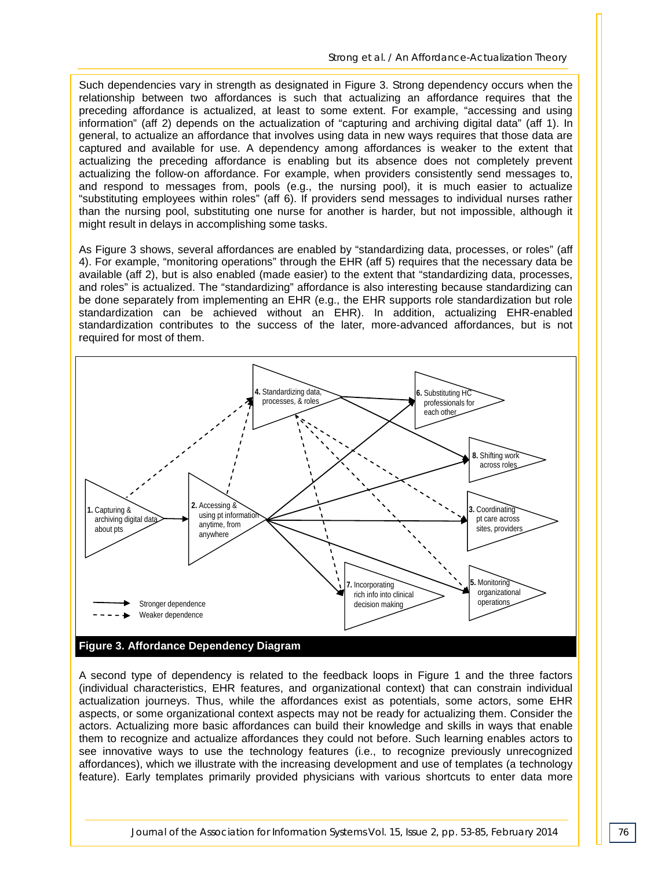Such dependencies vary in strength as designated in Figure 3. Strong dependency occurs when the relationship between two affordances is such that actualizing an affordance requires that the preceding affordance is actualized, at least to some extent. For example, "accessing and using information" (aff 2) depends on the actualization of "capturing and archiving digital data" (aff 1). In general, to actualize an affordance that involves using data in new ways requires that those data are captured and available for use. A dependency among affordances is weaker to the extent that actualizing the preceding affordance is enabling but its absence does not completely prevent actualizing the follow-on affordance. For example, when providers consistently send messages to, and respond to messages from, pools (e.g., the nursing pool), it is much easier to actualize "substituting employees within roles" (aff 6). If providers send messages to individual nurses rather than the nursing pool, substituting one nurse for another is harder, but not impossible, although it might result in delays in accomplishing some tasks.

As Figure 3 shows, several affordances are enabled by "standardizing data, processes, or roles" (aff 4). For example, "monitoring operations" through the EHR (aff 5) requires that the necessary data be available (aff 2), but is also enabled (made easier) to the extent that "standardizing data, processes, and roles" is actualized. The "standardizing" affordance is also interesting because standardizing can be done separately from implementing an EHR (e.g., the EHR supports role standardization but role standardization can be achieved without an EHR). In addition, actualizing EHR-enabled standardization contributes to the success of the later, more-advanced affordances, but is not required for most of them.



A second type of dependency is related to the feedback loops in Figure 1 and the three factors (individual characteristics, EHR features, and organizational context) that can constrain individual actualization journeys. Thus, while the affordances exist as potentials, some actors, some EHR aspects, or some organizational context aspects may not be ready for actualizing them. Consider the actors. Actualizing more basic affordances can build their knowledge and skills in ways that enable them to recognize and actualize affordances they could not before. Such learning enables actors to see innovative ways to use the technology features (i.e., to recognize previously unrecognized affordances), which we illustrate with the increasing development and use of templates (a technology feature). Early templates primarily provided physicians with various shortcuts to enter data more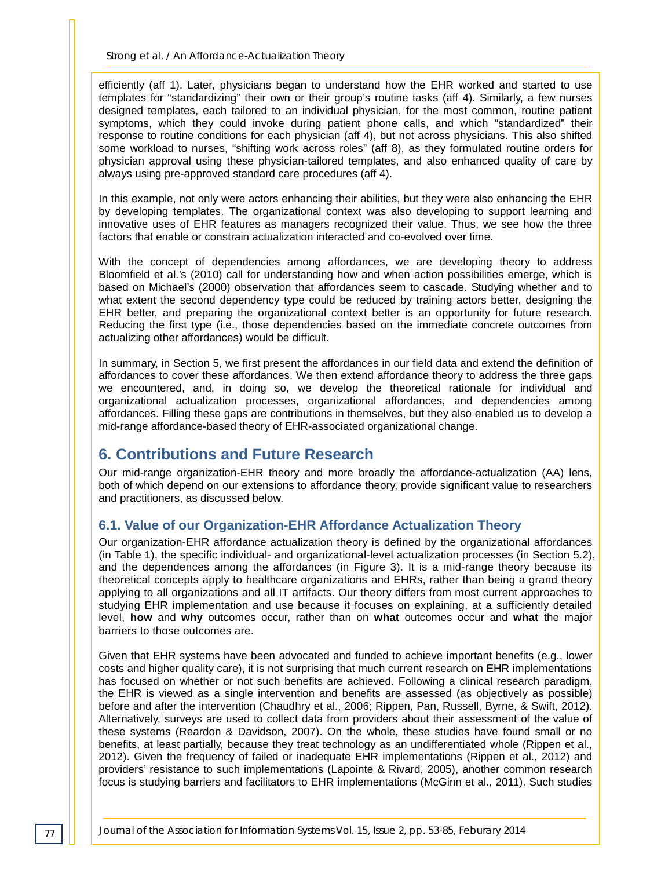*Strong et al. / An Affordance-Actualization Theory*

efficiently (aff 1). Later, physicians began to understand how the EHR worked and started to use templates for "standardizing" their own or their group's routine tasks (aff 4). Similarly, a few nurses designed templates, each tailored to an individual physician, for the most common, routine patient symptoms, which they could invoke during patient phone calls, and which "standardized" their response to routine conditions for each physician (aff 4), but not across physicians. This also shifted some workload to nurses, "shifting work across roles" (aff 8), as they formulated routine orders for physician approval using these physician-tailored templates, and also enhanced quality of care by always using pre-approved standard care procedures (aff 4).

In this example, not only were actors enhancing their abilities, but they were also enhancing the EHR by developing templates. The organizational context was also developing to support learning and innovative uses of EHR features as managers recognized their value. Thus, we see how the three factors that enable or constrain actualization interacted and co-evolved over time.

With the concept of dependencies among affordances, we are developing theory to address Bloomfield et al.'s (2010) call for understanding how and when action possibilities emerge, which is based on Michael's (2000) observation that affordances seem to cascade. Studying whether and to what extent the second dependency type could be reduced by training actors better, designing the EHR better, and preparing the organizational context better is an opportunity for future research. Reducing the first type (i.e., those dependencies based on the immediate concrete outcomes from actualizing other affordances) would be difficult.

In summary, in Section 5, we first present the affordances in our field data and extend the definition of affordances to cover these affordances. We then extend affordance theory to address the three gaps we encountered, and, in doing so, we develop the theoretical rationale for individual and organizational actualization processes, organizational affordances, and dependencies among affordances. Filling these gaps are contributions in themselves, but they also enabled us to develop a mid-range affordance-based theory of EHR-associated organizational change.

# **6. Contributions and Future Research**

Our mid-range organization-EHR theory and more broadly the affordance-actualization (AA) lens, both of which depend on our extensions to affordance theory, provide significant value to researchers and practitioners, as discussed below.

## **6.1. Value of our Organization-EHR Affordance Actualization Theory**

Our organization-EHR affordance actualization theory is defined by the organizational affordances (in Table 1), the specific individual- and organizational-level actualization processes (in Section 5.2), and the dependences among the affordances (in Figure 3). It is a mid-range theory because its theoretical concepts apply to healthcare organizations and EHRs, rather than being a grand theory applying to all organizations and all IT artifacts. Our theory differs from most current approaches to studying EHR implementation and use because it focuses on explaining, at a sufficiently detailed level, **how** and **why** outcomes occur, rather than on **what** outcomes occur and **what** the major barriers to those outcomes are.

Given that EHR systems have been advocated and funded to achieve important benefits (e.g., lower costs and higher quality care), it is not surprising that much current research on EHR implementations has focused on whether or not such benefits are achieved. Following a clinical research paradigm, the EHR is viewed as a single intervention and benefits are assessed (as objectively as possible) before and after the intervention (Chaudhry et al., 2006; Rippen, Pan, Russell, Byrne, & Swift, 2012). Alternatively, surveys are used to collect data from providers about their assessment of the value of these systems (Reardon & Davidson, 2007). On the whole, these studies have found small or no benefits, at least partially, because they treat technology as an undifferentiated whole (Rippen et al., 2012). Given the frequency of failed or inadequate EHR implementations (Rippen et al., 2012) and providers' resistance to such implementations (Lapointe & Rivard, 2005), another common research focus is studying barriers and facilitators to EHR implementations (McGinn et al., 2011). Such studies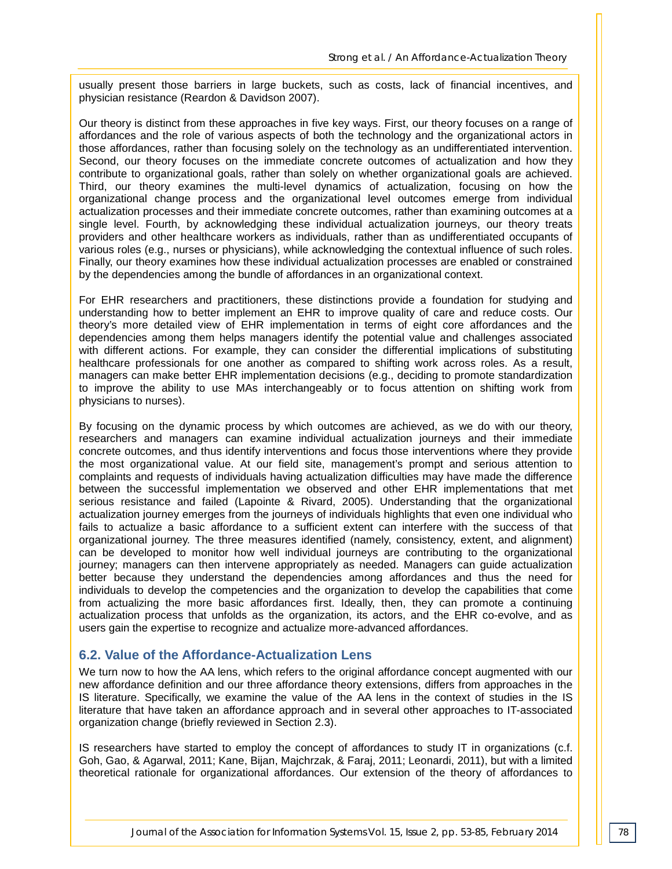usually present those barriers in large buckets, such as costs, lack of financial incentives, and physician resistance (Reardon & Davidson 2007).

Our theory is distinct from these approaches in five key ways. First, our theory focuses on a range of affordances and the role of various aspects of both the technology and the organizational actors in those affordances, rather than focusing solely on the technology as an undifferentiated intervention. Second, our theory focuses on the immediate concrete outcomes of actualization and how they contribute to organizational goals, rather than solely on whether organizational goals are achieved. Third, our theory examines the multi-level dynamics of actualization, focusing on how the organizational change process and the organizational level outcomes emerge from individual actualization processes and their immediate concrete outcomes, rather than examining outcomes at a single level. Fourth, by acknowledging these individual actualization journeys, our theory treats providers and other healthcare workers as individuals, rather than as undifferentiated occupants of various roles (e.g., nurses or physicians), while acknowledging the contextual influence of such roles. Finally, our theory examines how these individual actualization processes are enabled or constrained by the dependencies among the bundle of affordances in an organizational context.

For EHR researchers and practitioners, these distinctions provide a foundation for studying and understanding how to better implement an EHR to improve quality of care and reduce costs. Our theory's more detailed view of EHR implementation in terms of eight core affordances and the dependencies among them helps managers identify the potential value and challenges associated with different actions. For example, they can consider the differential implications of substituting healthcare professionals for one another as compared to shifting work across roles. As a result, managers can make better EHR implementation decisions (e.g., deciding to promote standardization to improve the ability to use MAs interchangeably or to focus attention on shifting work from physicians to nurses).

By focusing on the dynamic process by which outcomes are achieved, as we do with our theory, researchers and managers can examine individual actualization journeys and their immediate concrete outcomes, and thus identify interventions and focus those interventions where they provide the most organizational value. At our field site, management's prompt and serious attention to complaints and requests of individuals having actualization difficulties may have made the difference between the successful implementation we observed and other EHR implementations that met serious resistance and failed (Lapointe & Rivard, 2005). Understanding that the organizational actualization journey emerges from the journeys of individuals highlights that even one individual who fails to actualize a basic affordance to a sufficient extent can interfere with the success of that organizational journey. The three measures identified (namely, consistency, extent, and alignment) can be developed to monitor how well individual journeys are contributing to the organizational journey; managers can then intervene appropriately as needed. Managers can guide actualization better because they understand the dependencies among affordances and thus the need for individuals to develop the competencies and the organization to develop the capabilities that come from actualizing the more basic affordances first. Ideally, then, they can promote a continuing actualization process that unfolds as the organization, its actors, and the EHR co-evolve, and as users gain the expertise to recognize and actualize more-advanced affordances.

#### **6.2. Value of the Affordance-Actualization Lens**

We turn now to how the AA lens, which refers to the original affordance concept augmented with our new affordance definition and our three affordance theory extensions, differs from approaches in the IS literature. Specifically, we examine the value of the AA lens in the context of studies in the IS literature that have taken an affordance approach and in several other approaches to IT-associated organization change (briefly reviewed in Section 2.3).

IS researchers have started to employ the concept of affordances to study IT in organizations (c.f. Goh, Gao, & Agarwal, 2011; Kane, Bijan, Majchrzak, & Faraj, 2011; Leonardi, 2011), but with a limited theoretical rationale for organizational affordances. Our extension of the theory of affordances to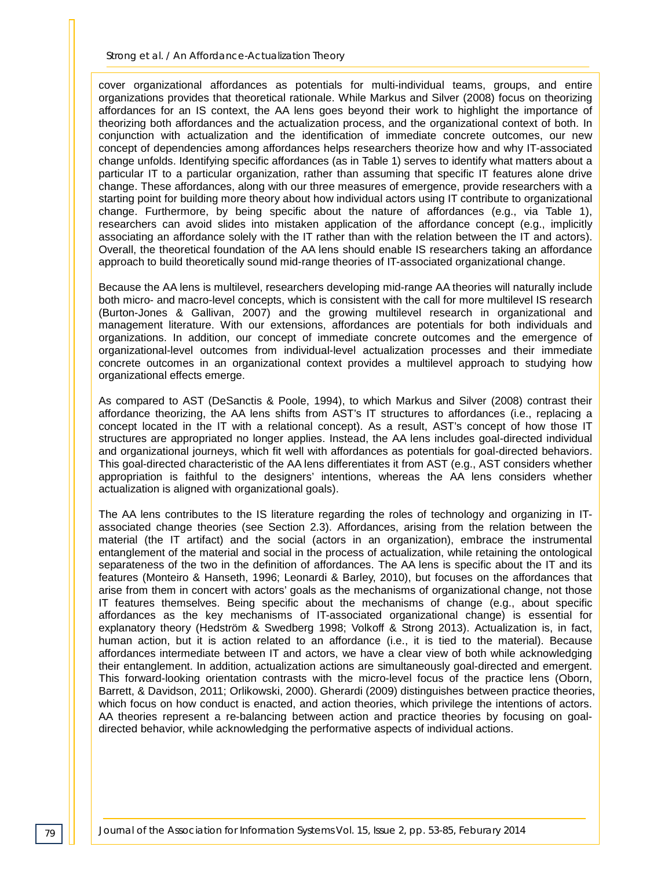*Strong et al. / An Affordance-Actualization Theory*

cover organizational affordances as potentials for multi-individual teams, groups, and entire organizations provides that theoretical rationale. While Markus and Silver (2008) focus on theorizing affordances for an IS context, the AA lens goes beyond their work to highlight the importance of theorizing both affordances and the actualization process, and the organizational context of both. In conjunction with actualization and the identification of immediate concrete outcomes, our new concept of dependencies among affordances helps researchers theorize how and why IT-associated change unfolds. Identifying specific affordances (as in Table 1) serves to identify what matters about a particular IT to a particular organization, rather than assuming that specific IT features alone drive change. These affordances, along with our three measures of emergence, provide researchers with a starting point for building more theory about how individual actors using IT contribute to organizational change. Furthermore, by being specific about the nature of affordances (e.g., via Table 1), researchers can avoid slides into mistaken application of the affordance concept (e.g., implicitly associating an affordance solely with the IT rather than with the relation between the IT and actors). Overall, the theoretical foundation of the AA lens should enable IS researchers taking an affordance approach to build theoretically sound mid-range theories of IT-associated organizational change.

Because the AA lens is multilevel, researchers developing mid-range AA theories will naturally include both micro- and macro-level concepts, which is consistent with the call for more multilevel IS research (Burton-Jones & Gallivan, 2007) and the growing multilevel research in organizational and management literature. With our extensions, affordances are potentials for both individuals and organizations. In addition, our concept of immediate concrete outcomes and the emergence of organizational-level outcomes from individual-level actualization processes and their immediate concrete outcomes in an organizational context provides a multilevel approach to studying how organizational effects emerge.

As compared to AST (DeSanctis & Poole, 1994), to which Markus and Silver (2008) contrast their affordance theorizing, the AA lens shifts from AST's IT structures to affordances (i.e., replacing a concept located in the IT with a relational concept). As a result, AST's concept of how those IT structures are appropriated no longer applies. Instead, the AA lens includes goal-directed individual and organizational journeys, which fit well with affordances as potentials for goal-directed behaviors. This goal-directed characteristic of the AA lens differentiates it from AST (e.g., AST considers whether appropriation is faithful to the designers' intentions, whereas the AA lens considers whether actualization is aligned with organizational goals).

The AA lens contributes to the IS literature regarding the roles of technology and organizing in ITassociated change theories (see Section 2.3). Affordances, arising from the relation between the material (the IT artifact) and the social (actors in an organization), embrace the instrumental entanglement of the material and social in the process of actualization, while retaining the ontological separateness of the two in the definition of affordances. The AA lens is specific about the IT and its features (Monteiro & Hanseth, 1996; Leonardi & Barley, 2010), but focuses on the affordances that arise from them in concert with actors' goals as the mechanisms of organizational change, not those IT features themselves. Being specific about the mechanisms of change (e.g., about specific affordances as the key mechanisms of IT-associated organizational change) is essential for explanatory theory (Hedström & Swedberg 1998; Volkoff & Strong 2013). Actualization is, in fact, human action, but it is action related to an affordance (i.e., it is tied to the material). Because affordances intermediate between IT and actors, we have a clear view of both while acknowledging their entanglement. In addition, actualization actions are simultaneously goal-directed and emergent. This forward-looking orientation contrasts with the micro-level focus of the practice lens (Oborn, Barrett, & Davidson, 2011; Orlikowski, 2000). Gherardi (2009) distinguishes between practice theories, which focus on how conduct is enacted, and action theories, which privilege the intentions of actors. AA theories represent a re-balancing between action and practice theories by focusing on goaldirected behavior, while acknowledging the performative aspects of individual actions.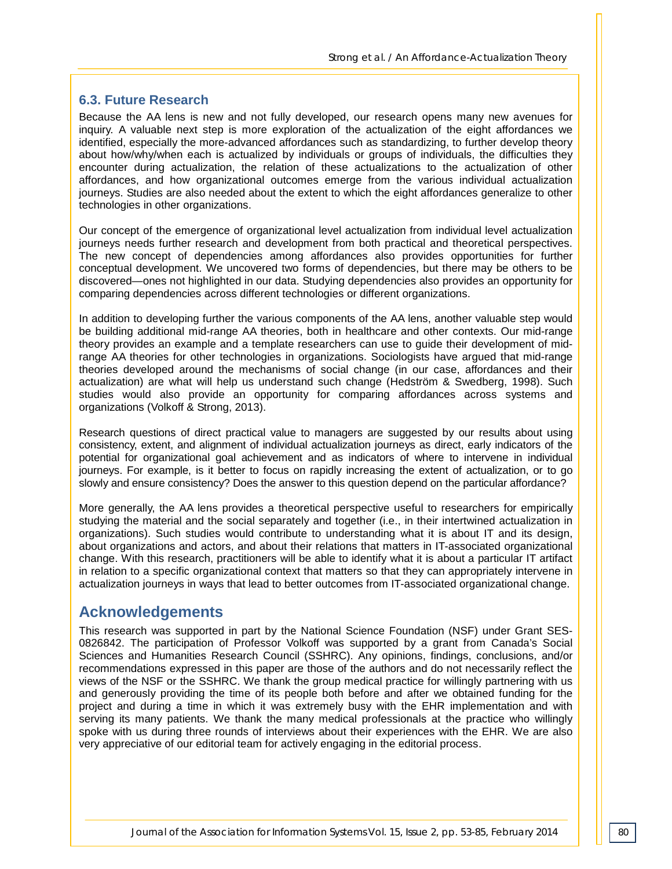#### **6.3. Future Research**

Because the AA lens is new and not fully developed, our research opens many new avenues for inquiry. A valuable next step is more exploration of the actualization of the eight affordances we identified, especially the more-advanced affordances such as standardizing, to further develop theory about how/why/when each is actualized by individuals or groups of individuals, the difficulties they encounter during actualization, the relation of these actualizations to the actualization of other affordances, and how organizational outcomes emerge from the various individual actualization journeys. Studies are also needed about the extent to which the eight affordances generalize to other technologies in other organizations.

Our concept of the emergence of organizational level actualization from individual level actualization journeys needs further research and development from both practical and theoretical perspectives. The new concept of dependencies among affordances also provides opportunities for further conceptual development. We uncovered two forms of dependencies, but there may be others to be discovered—ones not highlighted in our data. Studying dependencies also provides an opportunity for comparing dependencies across different technologies or different organizations.

In addition to developing further the various components of the AA lens, another valuable step would be building additional mid-range AA theories, both in healthcare and other contexts. Our mid-range theory provides an example and a template researchers can use to guide their development of midrange AA theories for other technologies in organizations. Sociologists have argued that mid-range theories developed around the mechanisms of social change (in our case, affordances and their actualization) are what will help us understand such change (Hedström & Swedberg, 1998). Such studies would also provide an opportunity for comparing affordances across systems and organizations (Volkoff & Strong, 2013).

Research questions of direct practical value to managers are suggested by our results about using consistency, extent, and alignment of individual actualization journeys as direct, early indicators of the potential for organizational goal achievement and as indicators of where to intervene in individual journeys. For example, is it better to focus on rapidly increasing the extent of actualization, or to go slowly and ensure consistency? Does the answer to this question depend on the particular affordance?

More generally, the AA lens provides a theoretical perspective useful to researchers for empirically studying the material and the social separately and together (i.e., in their intertwined actualization in organizations). Such studies would contribute to understanding what it is about IT and its design, about organizations and actors, and about their relations that matters in IT-associated organizational change. With this research, practitioners will be able to identify what it is about a particular IT artifact in relation to a specific organizational context that matters so that they can appropriately intervene in actualization journeys in ways that lead to better outcomes from IT-associated organizational change.

# **Acknowledgements**

This research was supported in part by the National Science Foundation (NSF) under Grant SES-0826842. The participation of Professor Volkoff was supported by a grant from Canada's Social Sciences and Humanities Research Council (SSHRC). Any opinions, findings, conclusions, and/or recommendations expressed in this paper are those of the authors and do not necessarily reflect the views of the NSF or the SSHRC. We thank the group medical practice for willingly partnering with us and generously providing the time of its people both before and after we obtained funding for the project and during a time in which it was extremely busy with the EHR implementation and with serving its many patients. We thank the many medical professionals at the practice who willingly spoke with us during three rounds of interviews about their experiences with the EHR. We are also very appreciative of our editorial team for actively engaging in the editorial process.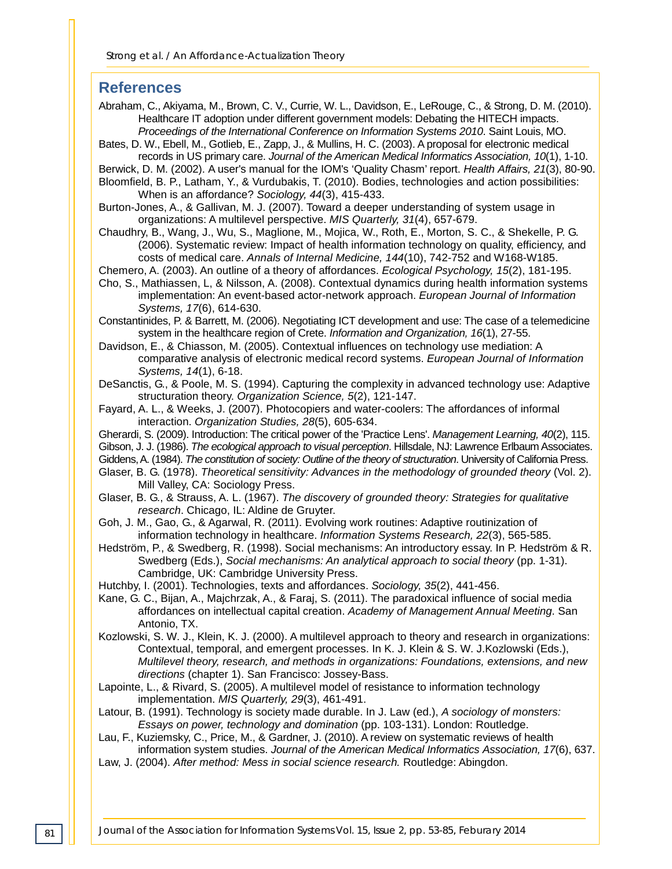#### **References**

Abraham, C., Akiyama, M., Brown, C. V., Currie, W. L., Davidson, E., LeRouge, C., & Strong, D. M. (2010). Healthcare IT adoption under different government models: Debating the HITECH impacts. *Proceedings of the International Conference on Information Systems 2010*. Saint Louis, MO.

- Bates, D. W., Ebell, M., Gotlieb, E., Zapp, J., & Mullins, H. C. (2003). A proposal for electronic medical records in US primary care. *Journal of the American Medical Informatics Association, 10*(1), 1-10.
- Berwick, D. M. (2002). A user's manual for the IOM's 'Quality Chasm' report. *Health Affairs, 21*(3), 80-90.

Bloomfield, B. P., Latham, Y., & Vurdubakis, T. (2010). Bodies, technologies and action possibilities: When is an affordance? *Sociology, 44*(3), 415-433.

Burton-Jones, A., & Gallivan, M. J. (2007). Toward a deeper understanding of system usage in organizations: A multilevel perspective. *MIS Quarterly, 31*(4), 657-679.

Chaudhry, B., Wang, J., Wu, S., Maglione, M., Mojica, W., Roth, E., Morton, S. C., & Shekelle, P. G. (2006). Systematic review: Impact of health information technology on quality, efficiency, and costs of medical care. *Annals of Internal Medicine, 144*(10), 742-752 and W168-W185.

Chemero, A. (2003). An outline of a theory of affordances. *Ecological Psychology, 15*(2), 181-195.

Cho, S., Mathiassen, L, & Nilsson, A. (2008). Contextual dynamics during health information systems implementation: An event-based actor-network approach. *European Journal of Information Systems, 17*(6), 614-630.

Constantinides, P. & Barrett, M. (2006). Negotiating ICT development and use: The case of a telemedicine system in the healthcare region of Crete. *Information and Organization, 16*(1), 27-55.

Davidson, E., & Chiasson, M. (2005). Contextual influences on technology use mediation: A comparative analysis of electronic medical record systems. *European Journal of Information Systems, 14*(1), 6-18.

- DeSanctis, G., & Poole, M. S. (1994). Capturing the complexity in advanced technology use: Adaptive structuration theory. *Organization Science, 5*(2), 121-147.
- Fayard, A. L., & Weeks, J. (2007). Photocopiers and water-coolers: The affordances of informal interaction. *Organization Studies, 28*(5), 605-634.
- Gherardi, S. (2009). Introduction: The critical power of the 'Practice Lens'. *Management Learning, 40*(2), 115.

Gibson, J. J. (1986). *The ecological approach to visual perception*. Hillsdale, NJ: Lawrence Erlbaum Associates.

- Giddens, A. (1984). *The constitution of society: Outline of the theory of structuration*. University of California Press.
- Glaser, B. G. (1978). *Theoretical sensitivity: Advances in the methodology of grounded theory* (Vol. 2). Mill Valley, CA: Sociology Press.
- Glaser, B. G., & Strauss, A. L. (1967). *The discovery of grounded theory: Strategies for qualitative research*. Chicago, IL: Aldine de Gruyter.
- Goh, J. M., Gao, G., & Agarwal, R. (2011). Evolving work routines: Adaptive routinization of information technology in healthcare. *Information Systems Research, 22*(3), 565-585.
- Hedström, P., & Swedberg, R. (1998). Social mechanisms: An introductory essay. In P. Hedström & R. Swedberg (Eds.), *Social mechanisms: An analytical approach to social theory* (pp. 1-31). Cambridge, UK: Cambridge University Press.
- Hutchby, I. (2001). Technologies, texts and affordances. *Sociology, 35*(2), 441-456.
- Kane, G. C., Bijan, A., Majchrzak, A., & Faraj, S. (2011). The paradoxical influence of social media affordances on intellectual capital creation. *Academy of Management Annual Meeting*. San Antonio, TX.
- Kozlowski, S. W. J., Klein, K. J. (2000). A multilevel approach to theory and research in organizations: Contextual, temporal, and emergent processes. In K. J. Klein & S. W. J.Kozlowski (Eds.), *Multilevel theory, research, and methods in organizations: Foundations, extensions, and new directions* (chapter 1). San Francisco: Jossey-Bass.
- Lapointe, L., & Rivard, S. (2005). A multilevel model of resistance to information technology implementation. *MIS Quarterly, 29*(3), 461-491.
- Latour, B. (1991). Technology is society made durable. In J. Law (ed.), *A sociology of monsters: Essays on power, technology and domination* (pp. 103-131). London: Routledge.
- Lau, F., Kuziemsky, C., Price, M., & Gardner, J. (2010). A review on systematic reviews of health information system studies. *Journal of the American Medical Informatics Association, 17*(6), 637.
- Law, J. (2004). *After method: Mess in social science research.* Routledge: Abingdon.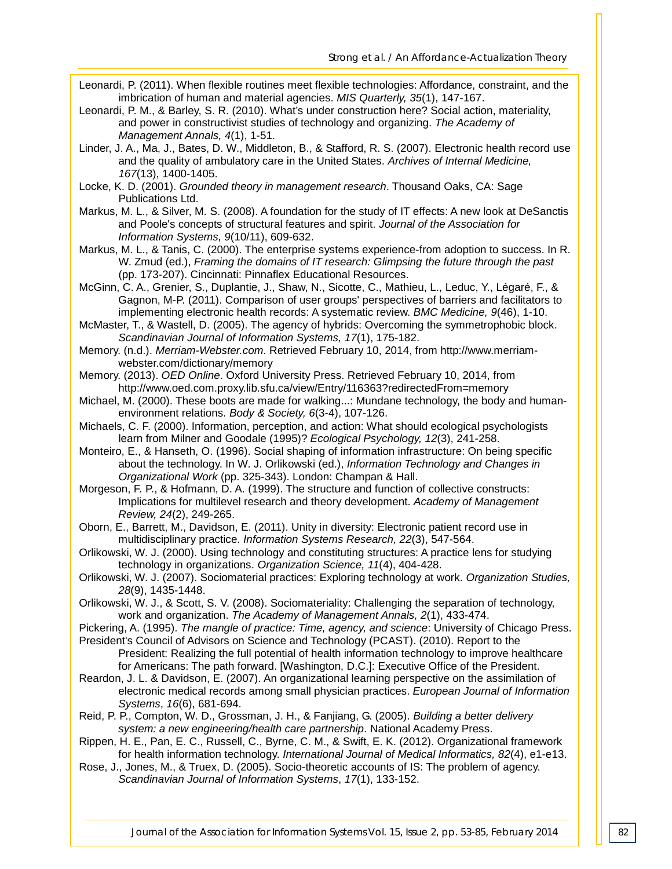- Leonardi, P. (2011). When flexible routines meet flexible technologies: Affordance, constraint, and the imbrication of human and material agencies. *MIS Quarterly, 35*(1), 147-167.
- Leonardi, P. M., & Barley, S. R. (2010). What's under construction here? Social action, materiality, and power in constructivist studies of technology and organizing. *The Academy of Management Annals, 4*(1), 1-51.
- Linder, J. A., Ma, J., Bates, D. W., Middleton, B., & Stafford, R. S. (2007). Electronic health record use and the quality of ambulatory care in the United States. *Archives of Internal Medicine, 167*(13), 1400-1405.
- Locke, K. D. (2001). *Grounded theory in management research*. Thousand Oaks, CA: Sage Publications Ltd.
- Markus, M. L., & Silver, M. S. (2008). A foundation for the study of IT effects: A new look at DeSanctis and Poole's concepts of structural features and spirit. *Journal of the Association for Information Systems, 9*(10/11), 609-632.
- Markus, M. L., & Tanis, C. (2000). The enterprise systems experience-from adoption to success. In R. W. Zmud (ed.), *Framing the domains of IT research: Glimpsing the future through the past* (pp. 173-207). Cincinnati: Pinnaflex Educational Resources.
- McGinn, C. A., Grenier, S., Duplantie, J., Shaw, N., Sicotte, C., Mathieu, L., Leduc, Y., Légaré, F., & Gagnon, M-P. (2011). Comparison of user groups' perspectives of barriers and facilitators to implementing electronic health records: A systematic review. *BMC Medicine, 9*(46), 1-10.
- McMaster, T., & Wastell, D. (2005). The agency of hybrids: Overcoming the symmetrophobic block. *Scandinavian Journal of Information Systems, 17*(1), 175-182.
- Memory. (n.d.). *Merriam-Webster.com*. Retrieved February 10, 2014, from http://www.merriamwebster.com/dictionary/memory
- Memory. (2013). *OED Online*. Oxford University Press. Retrieved February 10, 2014, from http://www.oed.com.proxy.lib.sfu.ca/view/Entry/116363?redirectedFrom=memory
- Michael, M. (2000). These boots are made for walking...: Mundane technology, the body and humanenvironment relations. *Body & Society, 6*(3-4), 107-126.
- Michaels, C. F. (2000). Information, perception, and action: What should ecological psychologists learn from Milner and Goodale (1995)? *Ecological Psychology, 12*(3), 241-258.
- Monteiro, E., & Hanseth, O. (1996). Social shaping of information infrastructure: On being specific about the technology. In W. J. Orlikowski (ed.), *Information Technology and Changes in Organizational Work* (pp. 325-343). London: Champan & Hall.
- Morgeson, F. P., & Hofmann, D. A. (1999). The structure and function of collective constructs: Implications for multilevel research and theory development. *Academy of Management Review, 24*(2), 249-265.
- Oborn, E., Barrett, M., Davidson, E. (2011). Unity in diversity: Electronic patient record use in multidisciplinary practice. *Information Systems Research, 22*(3), 547-564.
- Orlikowski, W. J. (2000). Using technology and constituting structures: A practice lens for studying technology in organizations. *Organization Science, 11*(4), 404-428.
- Orlikowski, W. J. (2007). Sociomaterial practices: Exploring technology at work. *Organization Studies, 28*(9), 1435-1448.
- Orlikowski, W. J., & Scott, S. V. (2008). Sociomateriality: Challenging the separation of technology, work and organization. *The Academy of Management Annals, 2*(1), 433-474.
- Pickering, A. (1995). *The mangle of practice: Time, agency, and science*: University of Chicago Press.
- President's Council of Advisors on Science and Technology (PCAST). (2010). Report to the President: Realizing the full potential of health information technology to improve healthcare for Americans: The path forward. [Washington, D.C.]: Executive Office of the President.
- Reardon, J. L. & Davidson, E. (2007). An organizational learning perspective on the assimilation of electronic medical records among small physician practices. *European Journal of Information Systems*, *16*(6), 681-694.
- Reid, P. P., Compton, W. D., Grossman, J. H., & Fanjiang, G. (2005). *Building a better delivery system: a new engineering/health care partnership*. National Academy Press.
- Rippen, H. E., Pan, E. C., Russell, C., Byrne, C. M., & Swift, E. K. (2012). Organizational framework for health information technology. *International Journal of Medical Informatics, 82*(4), e1-e13.
- Rose, J., Jones, M., & Truex, D. (2005). Socio-theoretic accounts of IS: The problem of agency. *Scandinavian Journal of Information Systems*, *17*(1), 133-152.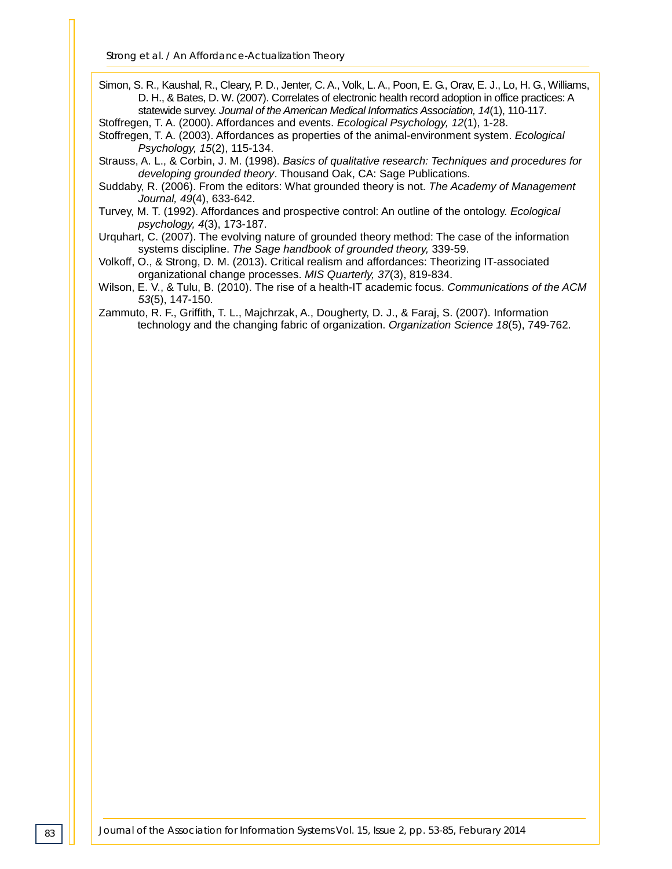Simon, S. R., Kaushal, R., Cleary, P. D., Jenter, C. A., Volk, L. A., Poon, E. G., Orav, E. J., Lo, H. G., Williams, D. H., & Bates, D. W. (2007). Correlates of electronic health record adoption in office practices: A statewide survey. *Journal of the American Medical Informatics Association, 14*(1), 110-117.

Stoffregen, T. A. (2000). Affordances and events. *Ecological Psychology, 12*(1), 1-28.

Stoffregen, T. A. (2003). Affordances as properties of the animal-environment system. *Ecological Psychology, 15*(2), 115-134.

Strauss, A. L., & Corbin, J. M. (1998). *Basics of qualitative research: Techniques and procedures for developing grounded theory*. Thousand Oak, CA: Sage Publications.

Suddaby, R. (2006). From the editors: What grounded theory is not. *The Academy of Management Journal, 49*(4), 633-642.

Turvey, M. T. (1992). Affordances and prospective control: An outline of the ontology. *Ecological psychology, 4*(3), 173-187.

Urquhart, C. (2007). The evolving nature of grounded theory method: The case of the information systems discipline. *The Sage handbook of grounded theory,* 339-59.

Volkoff, O., & Strong, D. M. (2013). Critical realism and affordances: Theorizing IT-associated organizational change processes. *MIS Quarterly, 37*(3), 819-834.

Wilson, E. V., & Tulu, B. (2010). The rise of a health-IT academic focus. *Communications of the ACM 53*(5), 147-150.

Zammuto, R. F., Griffith, T. L., Majchrzak, A., Dougherty, D. J., & Faraj, S. (2007). Information technology and the changing fabric of organization. *Organization Science 18*(5), 749-762.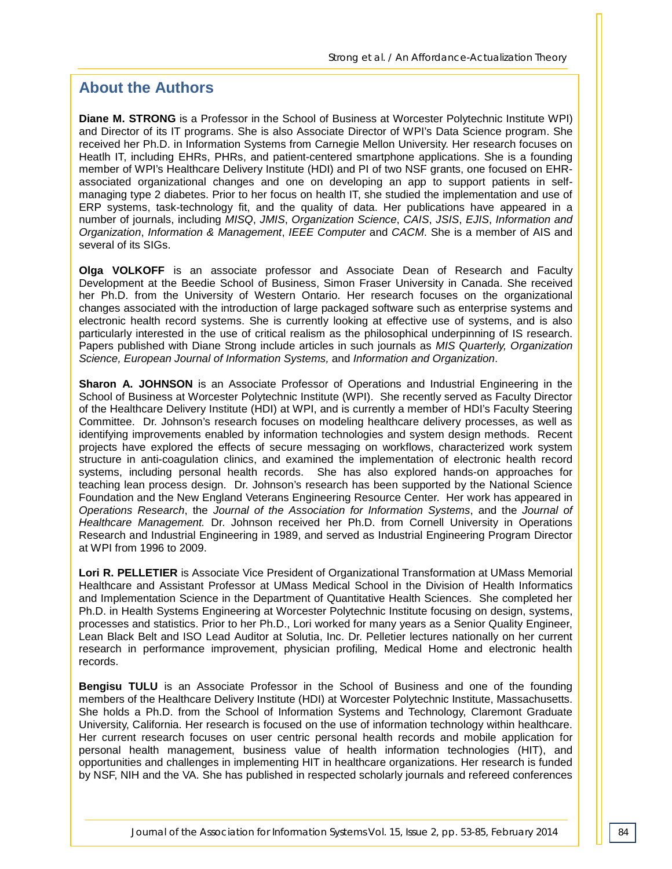# **About the Authors**

**Diane M. STRONG** is a Professor in the School of Business at Worcester Polytechnic Institute WPI) and Director of its IT programs. She is also Associate Director of WPI's Data Science program. She received her Ph.D. in Information Systems from Carnegie Mellon University. Her research focuses on Heatlh IT, including EHRs, PHRs, and patient-centered smartphone applications. She is a founding member of WPI's Healthcare Delivery Institute (HDI) and PI of two NSF grants, one focused on EHRassociated organizational changes and one on developing an app to support patients in selfmanaging type 2 diabetes. Prior to her focus on health IT, she studied the implementation and use of ERP systems, task-technology fit, and the quality of data. Her publications have appeared in a number of journals, including *MISQ*, *JMIS*, *Organization Science*, *CAIS*, *JSIS*, *EJIS*, *Information and Organization*, *Information & Management*, *IEEE Computer* and *CACM*. She is a member of AIS and several of its SIGs.

**Olga VOLKOFF** is an associate professor and Associate Dean of Research and Faculty Development at the Beedie School of Business, Simon Fraser University in Canada. She received her Ph.D. from the University of Western Ontario. Her research focuses on the organizational changes associated with the introduction of large packaged software such as enterprise systems and electronic health record systems. She is currently looking at effective use of systems, and is also particularly interested in the use of critical realism as the philosophical underpinning of IS research. Papers published with Diane Strong include articles in such journals as *MIS Quarterly, Organization Science, European Journal of Information Systems,* and *Information and Organization*.

**Sharon A. JOHNSON** is an Associate Professor of Operations and Industrial Engineering in the School of Business at Worcester Polytechnic Institute (WPI). She recently served as Faculty Director of the Healthcare Delivery Institute (HDI) at WPI, and is currently a member of HDI's Faculty Steering Committee. Dr. Johnson's research focuses on modeling healthcare delivery processes, as well as identifying improvements enabled by information technologies and system design methods. Recent projects have explored the effects of secure messaging on workflows, characterized work system structure in anti-coagulation clinics, and examined the implementation of electronic health record systems, including personal health records. She has also explored hands-on approaches for teaching lean process design. Dr. Johnson's research has been supported by the National Science Foundation and the New England Veterans Engineering Resource Center. Her work has appeared in *Operations Research*, the *Journal of the Association for Information Systems*, and the *Journal of Healthcare Management.* Dr. Johnson received her Ph.D. from Cornell University in Operations Research and Industrial Engineering in 1989, and served as Industrial Engineering Program Director at WPI from 1996 to 2009.

**Lori R. PELLETIER** is Associate Vice President of Organizational Transformation at UMass Memorial Healthcare and Assistant Professor at UMass Medical School in the Division of Health Informatics and Implementation Science in the Department of Quantitative Health Sciences. She completed her Ph.D. in Health Systems Engineering at Worcester Polytechnic Institute focusing on design, systems, processes and statistics. Prior to her Ph.D., Lori worked for many years as a Senior Quality Engineer, Lean Black Belt and ISO Lead Auditor at Solutia, Inc. Dr. Pelletier lectures nationally on her current research in performance improvement, physician profiling, Medical Home and electronic health records.

**Bengisu TULU** is an Associate Professor in the School of Business and one of the founding members of the Healthcare Delivery Institute (HDI) at Worcester Polytechnic Institute, Massachusetts. She holds a Ph.D. from the School of Information Systems and Technology, Claremont Graduate University, California. Her research is focused on the use of information technology within healthcare. Her current research focuses on user centric personal health records and mobile application for personal health management, business value of health information technologies (HIT), and opportunities and challenges in implementing HIT in healthcare organizations. Her research is funded by NSF, NIH and the VA. She has published in respected scholarly journals and refereed conferences